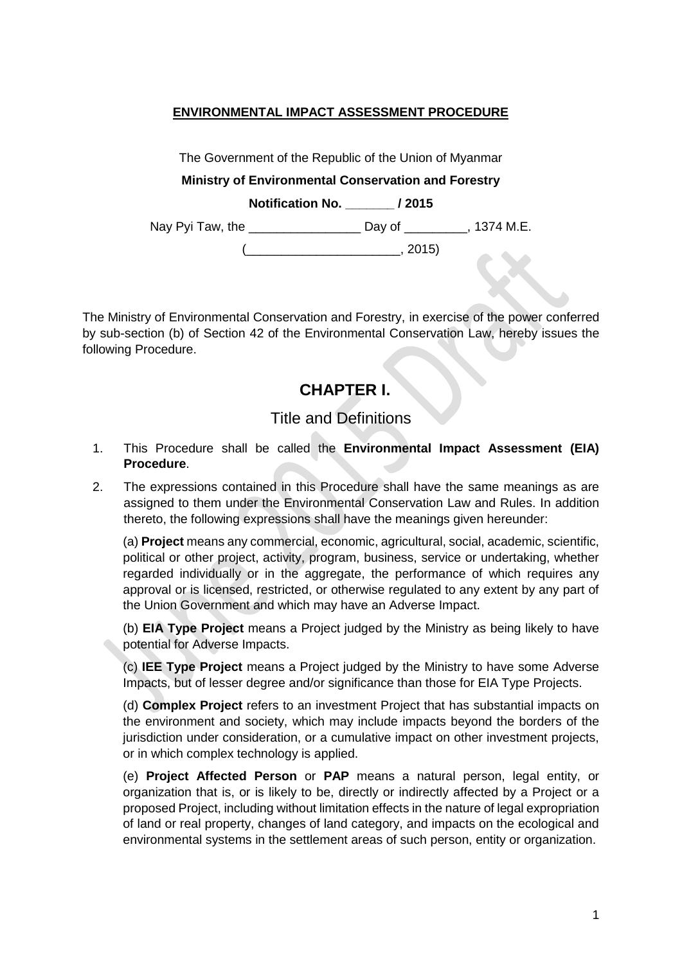### **ENVIRONMENTAL IMPACT ASSESSMENT PROCEDURE**

The Government of the Republic of the Union of Myanmar

#### **Ministry of Environmental Conservation and Forestry**

**Notification No. \_\_\_\_\_\_\_ / 2015**

Nay Pyi Taw, the \_\_\_\_\_\_\_\_\_\_\_\_\_\_\_\_\_\_\_\_\_ Day of \_\_\_\_\_\_\_\_\_, 1374 M.E.

(\_\_\_\_\_\_\_\_\_\_\_\_\_\_\_\_\_\_\_\_\_\_, 2015)

The Ministry of Environmental Conservation and Forestry, in exercise of the power conferred by sub-section (b) of Section 42 of the Environmental Conservation Law, hereby issues the following Procedure.

## **CHAPTER I.**

## Title and Definitions

- 1. This Procedure shall be called the **Environmental Impact Assessment (EIA) Procedure**.
- 2. The expressions contained in this Procedure shall have the same meanings as are assigned to them under the Environmental Conservation Law and Rules. In addition thereto, the following expressions shall have the meanings given hereunder:

(a) **Project** means any commercial, economic, agricultural, social, academic, scientific, political or other project, activity, program, business, service or undertaking, whether regarded individually or in the aggregate, the performance of which requires any approval or is licensed, restricted, or otherwise regulated to any extent by any part of the Union Government and which may have an Adverse Impact.

(b) **EIA Type Project** means a Project judged by the Ministry as being likely to have potential for Adverse Impacts.

(c) **IEE Type Project** means a Project judged by the Ministry to have some Adverse Impacts, but of lesser degree and/or significance than those for EIA Type Projects.

(d) **Complex Project** refers to an investment Project that has substantial impacts on the environment and society, which may include impacts beyond the borders of the jurisdiction under consideration, or a cumulative impact on other investment projects, or in which complex technology is applied.

(e) **Project Affected Person** or **PAP** means a natural person, legal entity, or organization that is, or is likely to be, directly or indirectly affected by a Project or a proposed Project, including without limitation effects in the nature of legal expropriation of land or real property, changes of land category, and impacts on the ecological and environmental systems in the settlement areas of such person, entity or organization.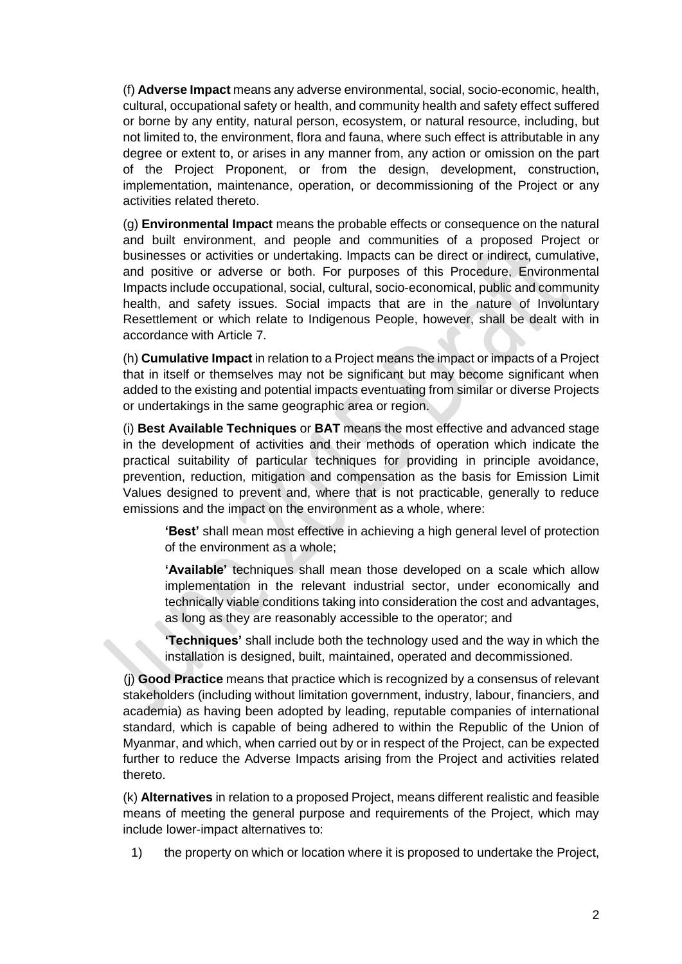(f) **Adverse Impact** means any adverse environmental, social, socio-economic, health, cultural, occupational safety or health, and community health and safety effect suffered or borne by any entity, natural person, ecosystem, or natural resource, including, but not limited to, the environment, flora and fauna, where such effect is attributable in any degree or extent to, or arises in any manner from, any action or omission on the part of the Project Proponent, or from the design, development, construction, implementation, maintenance, operation, or decommissioning of the Project or any activities related thereto.

(g) **Environmental Impact** means the probable effects or consequence on the natural and built environment, and people and communities of a proposed Project or businesses or activities or undertaking. Impacts can be direct or indirect, cumulative, and positive or adverse or both. For purposes of this Procedure, Environmental Impacts include occupational, social, cultural, socio-economical, public and community health, and safety issues. Social impacts that are in the nature of Involuntary Resettlement or which relate to Indigenous People, however, shall be dealt with in accordance with Article 7.

(h) **Cumulative Impact** in relation to a Project means the impact or impacts of a Project that in itself or themselves may not be significant but may become significant when added to the existing and potential impacts eventuating from similar or diverse Projects or undertakings in the same geographic area or region.

(i) **Best Available Techniques** or **BAT** means the most effective and advanced stage in the development of activities and their methods of operation which indicate the practical suitability of particular techniques for providing in principle avoidance, prevention, reduction, mitigation and compensation as the basis for Emission Limit Values designed to prevent and, where that is not practicable, generally to reduce emissions and the impact on the environment as a whole, where:

**'Best'** shall mean most effective in achieving a high general level of protection of the environment as a whole;

**'Available'** techniques shall mean those developed on a scale which allow implementation in the relevant industrial sector, under economically and technically viable conditions taking into consideration the cost and advantages, as long as they are reasonably accessible to the operator; and

**'Techniques'** shall include both the technology used and the way in which the installation is designed, built, maintained, operated and decommissioned.

(j) **Good Practice** means that practice which is recognized by a consensus of relevant stakeholders (including without limitation government, industry, labour, financiers, and academia) as having been adopted by leading, reputable companies of international standard, which is capable of being adhered to within the Republic of the Union of Myanmar, and which, when carried out by or in respect of the Project, can be expected further to reduce the Adverse Impacts arising from the Project and activities related thereto.

(k) **Alternatives** in relation to a proposed Project, means different realistic and feasible means of meeting the general purpose and requirements of the Project, which may include lower-impact alternatives to:

1) the property on which or location where it is proposed to undertake the Project,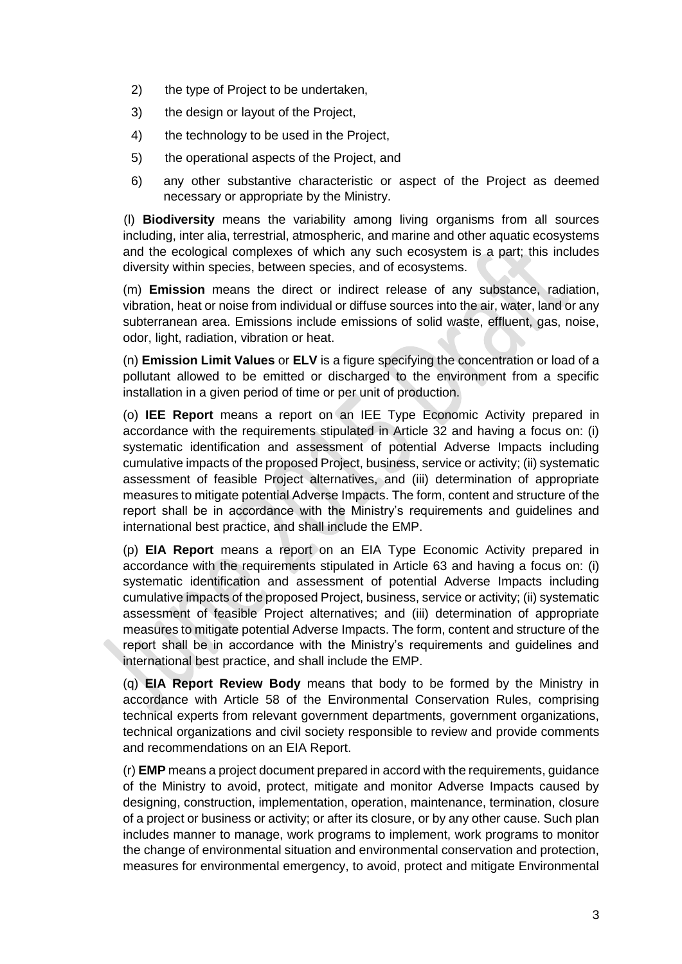- 2) the type of Project to be undertaken,
- 3) the design or layout of the Project,
- 4) the technology to be used in the Project,
- 5) the operational aspects of the Project, and
- 6) any other substantive characteristic or aspect of the Project as deemed necessary or appropriate by the Ministry.

(l) **Biodiversity** means the variability among living organisms from all sources including, inter alia, terrestrial, atmospheric, and marine and other aquatic ecosystems and the ecological complexes of which any such ecosystem is a part; this includes diversity within species, between species, and of ecosystems.

(m) **Emission** means the direct or indirect release of any substance, radiation, vibration, heat or noise from individual or diffuse sources into the air, water, land or any subterranean area. Emissions include emissions of solid waste, effluent, gas, noise, odor, light, radiation, vibration or heat.

(n) **Emission Limit Values** or **ELV** is a figure specifying the concentration or load of a pollutant allowed to be emitted or discharged to the environment from a specific installation in a given period of time or per unit of production.

(o) **IEE Report** means a report on an IEE Type Economic Activity prepared in accordance with the requirements stipulated in Article 32 and having a focus on: (i) systematic identification and assessment of potential Adverse Impacts including cumulative impacts of the proposed Project, business, service or activity; (ii) systematic assessment of feasible Project alternatives, and (iii) determination of appropriate measures to mitigate potential Adverse Impacts. The form, content and structure of the report shall be in accordance with the Ministry's requirements and guidelines and international best practice, and shall include the EMP.

(p) **EIA Report** means a report on an EIA Type Economic Activity prepared in accordance with the requirements stipulated in Article 63 and having a focus on: (i) systematic identification and assessment of potential Adverse Impacts including cumulative impacts of the proposed Project, business, service or activity; (ii) systematic assessment of feasible Project alternatives; and (iii) determination of appropriate measures to mitigate potential Adverse Impacts. The form, content and structure of the report shall be in accordance with the Ministry's requirements and guidelines and international best practice, and shall include the EMP.

(q) **EIA Report Review Body** means that body to be formed by the Ministry in accordance with Article 58 of the Environmental Conservation Rules, comprising technical experts from relevant government departments, government organizations, technical organizations and civil society responsible to review and provide comments and recommendations on an EIA Report.

(r) **EMP** means a project document prepared in accord with the requirements, guidance of the Ministry to avoid, protect, mitigate and monitor Adverse Impacts caused by designing, construction, implementation, operation, maintenance, termination, closure of a project or business or activity; or after its closure, or by any other cause. Such plan includes manner to manage, work programs to implement, work programs to monitor the change of environmental situation and environmental conservation and protection, measures for environmental emergency, to avoid, protect and mitigate Environmental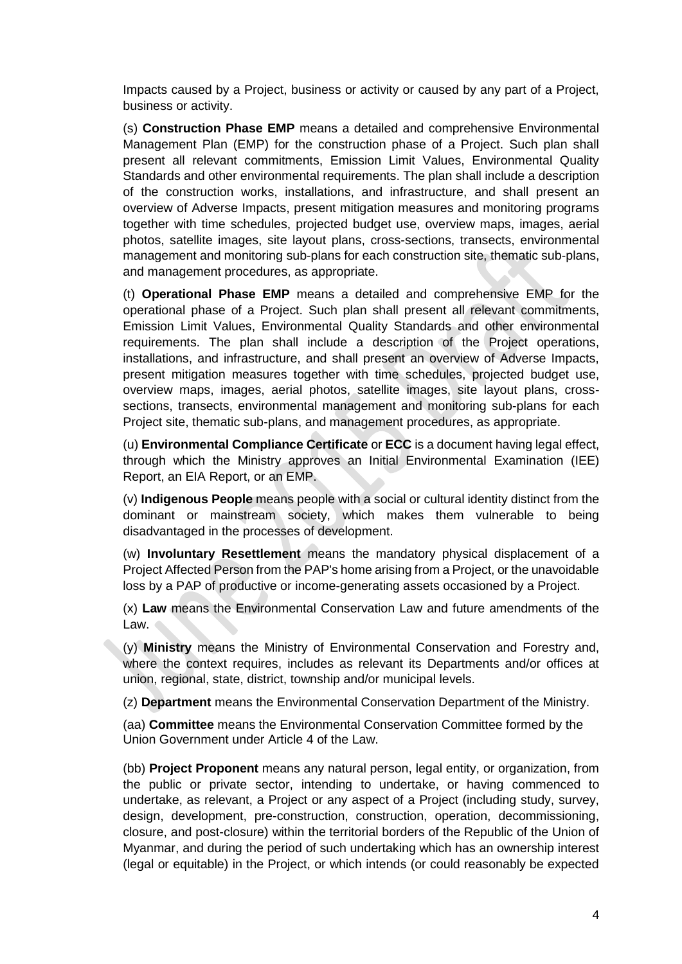Impacts caused by a Project, business or activity or caused by any part of a Project, business or activity.

(s) **Construction Phase EMP** means a detailed and comprehensive Environmental Management Plan (EMP) for the construction phase of a Project. Such plan shall present all relevant commitments, Emission Limit Values, Environmental Quality Standards and other environmental requirements. The plan shall include a description of the construction works, installations, and infrastructure, and shall present an overview of Adverse Impacts, present mitigation measures and monitoring programs together with time schedules, projected budget use, overview maps, images, aerial photos, satellite images, site layout plans, cross-sections, transects, environmental management and monitoring sub-plans for each construction site, thematic sub-plans, and management procedures, as appropriate.

(t) **Operational Phase EMP** means a detailed and comprehensive EMP for the operational phase of a Project. Such plan shall present all relevant commitments, Emission Limit Values, Environmental Quality Standards and other environmental requirements. The plan shall include a description of the Project operations, installations, and infrastructure, and shall present an overview of Adverse Impacts, present mitigation measures together with time schedules, projected budget use, overview maps, images, aerial photos, satellite images, site layout plans, crosssections, transects, environmental management and monitoring sub-plans for each Project site, thematic sub-plans, and management procedures, as appropriate.

(u) **Environmental Compliance Certificate** or **ECC** is a document having legal effect, through which the Ministry approves an Initial Environmental Examination (IEE) Report, an EIA Report, or an EMP.

(v) **Indigenous People** means people with a social or cultural identity distinct from the dominant or mainstream society, which makes them vulnerable to being disadvantaged in the processes of development.

(w) **Involuntary Resettlement** means the mandatory physical displacement of a Project Affected Person from the PAP's home arising from a Project, or the unavoidable loss by a PAP of productive or income-generating assets occasioned by a Project.

(x) **Law** means the Environmental Conservation Law and future amendments of the Law.

(y) **Ministry** means the Ministry of Environmental Conservation and Forestry and, where the context requires, includes as relevant its Departments and/or offices at union, regional, state, district, township and/or municipal levels.

(z) **Department** means the Environmental Conservation Department of the Ministry.

(aa) **Committee** means the Environmental Conservation Committee formed by the Union Government under Article 4 of the Law.

(bb) **Project Proponent** means any natural person, legal entity, or organization, from the public or private sector, intending to undertake, or having commenced to undertake, as relevant, a Project or any aspect of a Project (including study, survey, design, development, pre-construction, construction, operation, decommissioning, closure, and post-closure) within the territorial borders of the Republic of the Union of Myanmar, and during the period of such undertaking which has an ownership interest (legal or equitable) in the Project, or which intends (or could reasonably be expected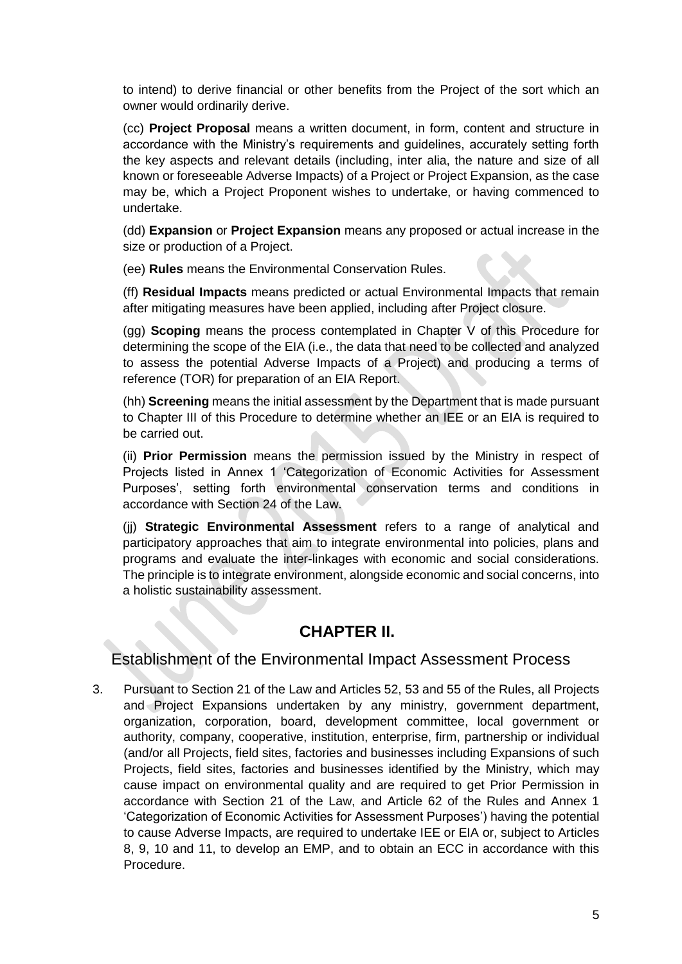to intend) to derive financial or other benefits from the Project of the sort which an owner would ordinarily derive.

(cc) **Project Proposal** means a written document, in form, content and structure in accordance with the Ministry's requirements and guidelines, accurately setting forth the key aspects and relevant details (including, inter alia, the nature and size of all known or foreseeable Adverse Impacts) of a Project or Project Expansion, as the case may be, which a Project Proponent wishes to undertake, or having commenced to undertake.

(dd) **Expansion** or **Project Expansion** means any proposed or actual increase in the size or production of a Project.

(ee) **Rules** means the Environmental Conservation Rules.

(ff) **Residual Impacts** means predicted or actual Environmental Impacts that remain after mitigating measures have been applied, including after Project closure.

(gg) **Scoping** means the process contemplated in Chapter V of this Procedure for determining the scope of the EIA (i.e., the data that need to be collected and analyzed to assess the potential Adverse Impacts of a Project) and producing a terms of reference (TOR) for preparation of an EIA Report.

(hh) **Screening** means the initial assessment by the Department that is made pursuant to Chapter III of this Procedure to determine whether an IEE or an EIA is required to be carried out.

(ii) **Prior Permission** means the permission issued by the Ministry in respect of Projects listed in Annex 1 'Categorization of Economic Activities for Assessment Purposes', setting forth environmental conservation terms and conditions in accordance with Section 24 of the Law.

(jj) **Strategic Environmental Assessment** refers to a range of analytical and participatory approaches that aim to integrate environmental into policies, plans and programs and evaluate the inter-linkages with economic and social considerations. The principle is to integrate environment, alongside economic and social concerns, into a holistic sustainability assessment.

## **CHAPTER II.**

### Establishment of the Environmental Impact Assessment Process

3. Pursuant to Section 21 of the Law and Articles 52, 53 and 55 of the Rules, all Projects and Project Expansions undertaken by any ministry, government department, organization, corporation, board, development committee, local government or authority, company, cooperative, institution, enterprise, firm, partnership or individual (and/or all Projects, field sites, factories and businesses including Expansions of such Projects, field sites, factories and businesses identified by the Ministry, which may cause impact on environmental quality and are required to get Prior Permission in accordance with Section 21 of the Law, and Article 62 of the Rules and Annex 1 'Categorization of Economic Activities for Assessment Purposes') having the potential to cause Adverse Impacts, are required to undertake IEE or EIA or, subject to Articles 8, 9, 10 and 11, to develop an EMP, and to obtain an ECC in accordance with this Procedure.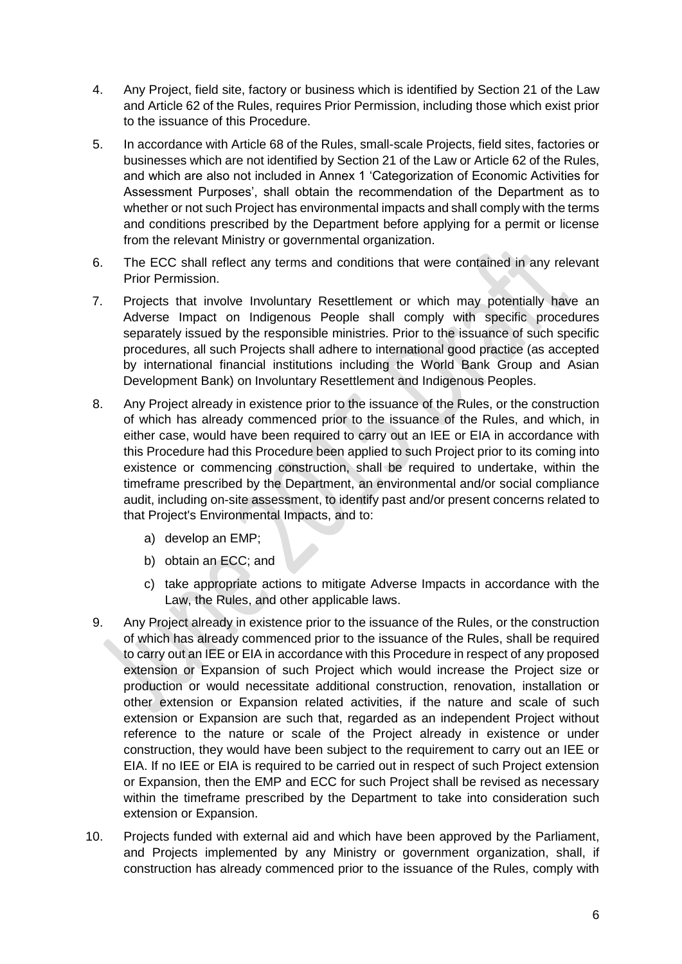- 4. Any Project, field site, factory or business which is identified by Section 21 of the Law and Article 62 of the Rules, requires Prior Permission, including those which exist prior to the issuance of this Procedure.
- 5. In accordance with Article 68 of the Rules, small-scale Projects, field sites, factories or businesses which are not identified by Section 21 of the Law or Article 62 of the Rules, and which are also not included in Annex 1 'Categorization of Economic Activities for Assessment Purposes', shall obtain the recommendation of the Department as to whether or not such Project has environmental impacts and shall comply with the terms and conditions prescribed by the Department before applying for a permit or license from the relevant Ministry or governmental organization.
- 6. The ECC shall reflect any terms and conditions that were contained in any relevant Prior Permission.
- 7. Projects that involve Involuntary Resettlement or which may potentially have an Adverse Impact on Indigenous People shall comply with specific procedures separately issued by the responsible ministries. Prior to the issuance of such specific procedures, all such Projects shall adhere to international good practice (as accepted by international financial institutions including the World Bank Group and Asian Development Bank) on Involuntary Resettlement and Indigenous Peoples.
- 8. Any Project already in existence prior to the issuance of the Rules, or the construction of which has already commenced prior to the issuance of the Rules, and which, in either case, would have been required to carry out an IEE or EIA in accordance with this Procedure had this Procedure been applied to such Project prior to its coming into existence or commencing construction, shall be required to undertake, within the timeframe prescribed by the Department, an environmental and/or social compliance audit, including on-site assessment, to identify past and/or present concerns related to that Project's Environmental Impacts, and to:
	- a) develop an EMP;
	- b) obtain an ECC; and
	- c) take appropriate actions to mitigate Adverse Impacts in accordance with the Law, the Rules, and other applicable laws.
- 9. Any Project already in existence prior to the issuance of the Rules, or the construction of which has already commenced prior to the issuance of the Rules, shall be required to carry out an IEE or EIA in accordance with this Procedure in respect of any proposed extension or Expansion of such Project which would increase the Project size or production or would necessitate additional construction, renovation, installation or other extension or Expansion related activities, if the nature and scale of such extension or Expansion are such that, regarded as an independent Project without reference to the nature or scale of the Project already in existence or under construction, they would have been subject to the requirement to carry out an IEE or EIA. If no IEE or EIA is required to be carried out in respect of such Project extension or Expansion, then the EMP and ECC for such Project shall be revised as necessary within the timeframe prescribed by the Department to take into consideration such extension or Expansion.
- 10. Projects funded with external aid and which have been approved by the Parliament, and Projects implemented by any Ministry or government organization, shall, if construction has already commenced prior to the issuance of the Rules, comply with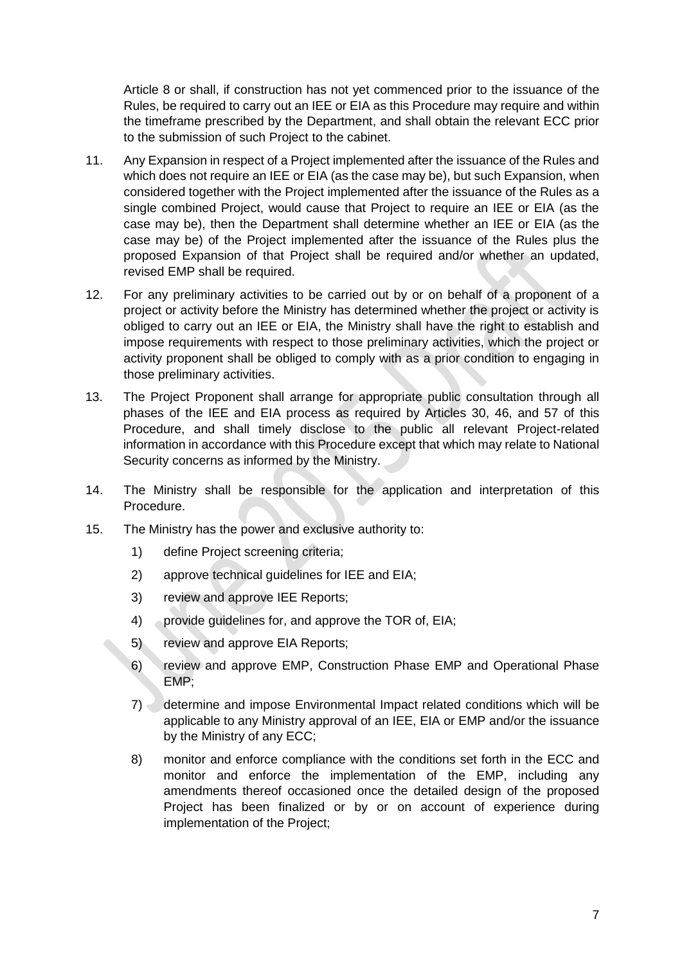Article 8 or shall, if construction has not yet commenced prior to the issuance of the Rules, be required to carry out an IEE or EIA as this Procedure may require and within the timeframe prescribed by the Department, and shall obtain the relevant ECC prior to the submission of such Project to the cabinet.

- 11. Any Expansion in respect of a Project implemented after the issuance of the Rules and which does not require an IEE or EIA (as the case may be), but such Expansion, when considered together with the Project implemented after the issuance of the Rules as a single combined Project, would cause that Project to require an IEE or EIA (as the case may be), then the Department shall determine whether an IEE or EIA (as the case may be) of the Project implemented after the issuance of the Rules plus the proposed Expansion of that Project shall be required and/or whether an updated, revised EMP shall be required.
- 12. For any preliminary activities to be carried out by or on behalf of a proponent of a project or activity before the Ministry has determined whether the project or activity is obliged to carry out an IEE or EIA, the Ministry shall have the right to establish and impose requirements with respect to those preliminary activities, which the project or activity proponent shall be obliged to comply with as a prior condition to engaging in those preliminary activities.
- 13. The Project Proponent shall arrange for appropriate public consultation through all phases of the IEE and EIA process as required by Articles 30, 46, and 57 of this Procedure, and shall timely disclose to the public all relevant Project-related information in accordance with this Procedure except that which may relate to National Security concerns as informed by the Ministry.
- 14. The Ministry shall be responsible for the application and interpretation of this Procedure.
- 15. The Ministry has the power and exclusive authority to:
	- 1) define Project screening criteria;
	- 2) approve technical guidelines for IEE and EIA;
	- 3) review and approve IEE Reports;
	- 4) provide quidelines for, and approve the TOR of, EIA;
	- 5) review and approve EIA Reports;
	- 6) review and approve EMP, Construction Phase EMP and Operational Phase EMP;
	- 7) determine and impose Environmental Impact related conditions which will be applicable to any Ministry approval of an IEE, EIA or EMP and/or the issuance by the Ministry of any ECC;
	- 8) monitor and enforce compliance with the conditions set forth in the ECC and monitor and enforce the implementation of the EMP, including any amendments thereof occasioned once the detailed design of the proposed Project has been finalized or by or on account of experience during implementation of the Project;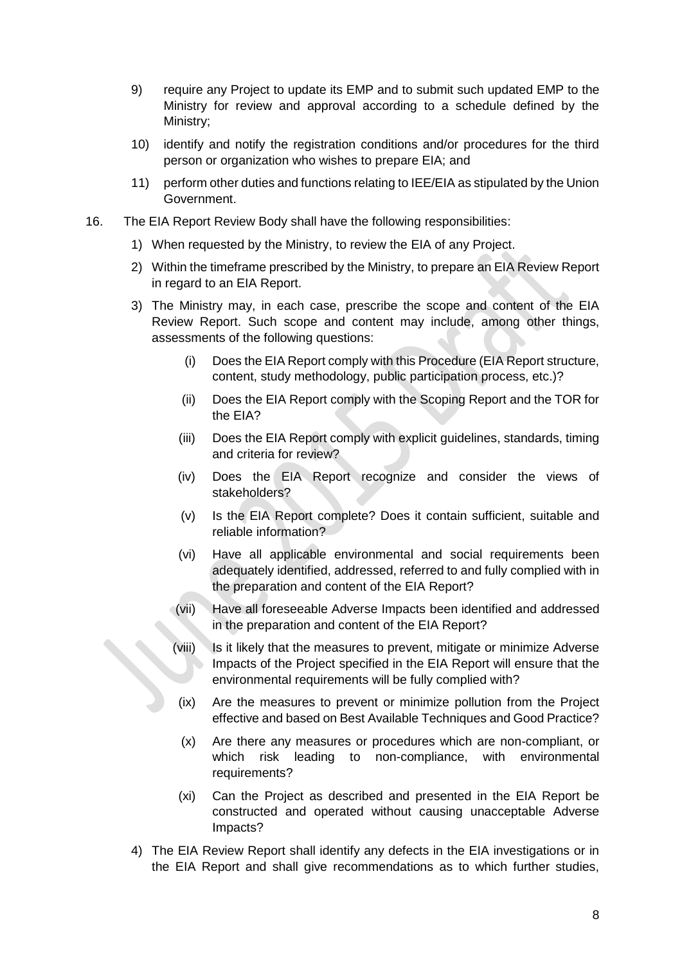- 9) require any Project to update its EMP and to submit such updated EMP to the Ministry for review and approval according to a schedule defined by the Ministry;
- 10) identify and notify the registration conditions and/or procedures for the third person or organization who wishes to prepare EIA; and
- 11) perform other duties and functions relating to IEE/EIA as stipulated by the Union Government.
- 16. The EIA Report Review Body shall have the following responsibilities:
	- 1) When requested by the Ministry, to review the EIA of any Project.
	- 2) Within the timeframe prescribed by the Ministry, to prepare an EIA Review Report in regard to an EIA Report.
	- 3) The Ministry may, in each case, prescribe the scope and content of the EIA Review Report. Such scope and content may include, among other things, assessments of the following questions:
		- (i) Does the EIA Report comply with this Procedure (EIA Report structure, content, study methodology, public participation process, etc.)?
		- (ii) Does the EIA Report comply with the Scoping Report and the TOR for the EIA?
		- (iii) Does the EIA Report comply with explicit guidelines, standards, timing and criteria for review?
		- (iv) Does the EIA Report recognize and consider the views of stakeholders?
		- (v) Is the EIA Report complete? Does it contain sufficient, suitable and reliable information?
		- (vi) Have all applicable environmental and social requirements been adequately identified, addressed, referred to and fully complied with in the preparation and content of the EIA Report?
		- (vii) Have all foreseeable Adverse Impacts been identified and addressed in the preparation and content of the EIA Report?
		- (viii) Is it likely that the measures to prevent, mitigate or minimize Adverse Impacts of the Project specified in the EIA Report will ensure that the environmental requirements will be fully complied with?
			- (ix) Are the measures to prevent or minimize pollution from the Project effective and based on Best Available Techniques and Good Practice?
			- (x) Are there any measures or procedures which are non-compliant, or which risk leading to non-compliance, with environmental requirements?
		- (xi) Can the Project as described and presented in the EIA Report be constructed and operated without causing unacceptable Adverse Impacts?
	- 4) The EIA Review Report shall identify any defects in the EIA investigations or in the EIA Report and shall give recommendations as to which further studies,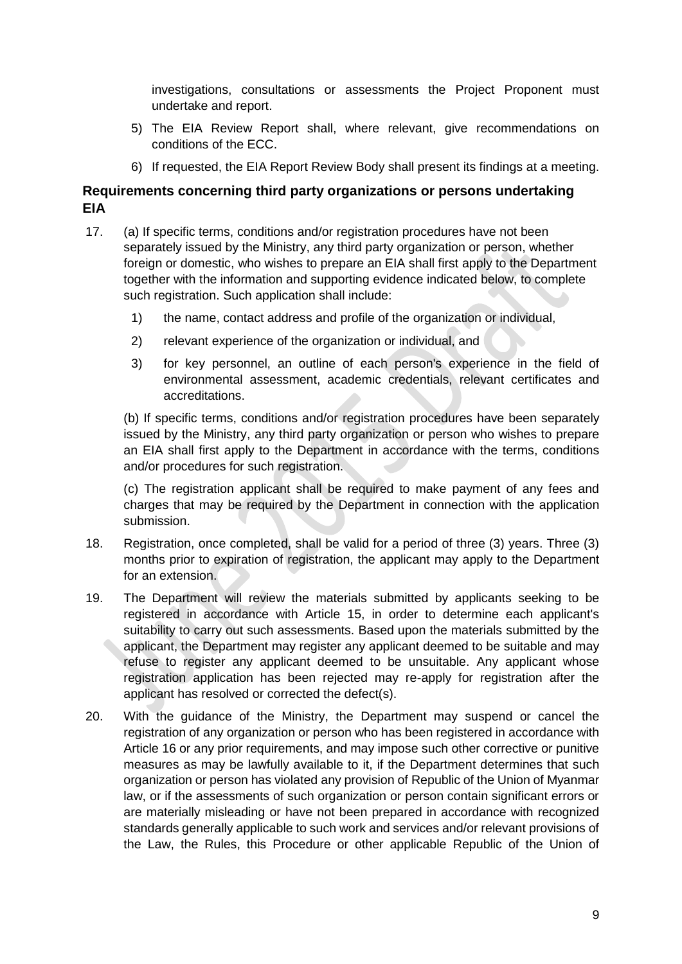investigations, consultations or assessments the Project Proponent must undertake and report.

- 5) The EIA Review Report shall, where relevant, give recommendations on conditions of the ECC.
- 6) If requested, the EIA Report Review Body shall present its findings at a meeting.

### **Requirements concerning third party organizations or persons undertaking EIA**

- 17. (a) If specific terms, conditions and/or registration procedures have not been separately issued by the Ministry, any third party organization or person, whether foreign or domestic, who wishes to prepare an EIA shall first apply to the Department together with the information and supporting evidence indicated below, to complete such registration. Such application shall include:
	- 1) the name, contact address and profile of the organization or individual,
	- 2) relevant experience of the organization or individual, and
	- 3) for key personnel, an outline of each person's experience in the field of environmental assessment, academic credentials, relevant certificates and accreditations.

(b) If specific terms, conditions and/or registration procedures have been separately issued by the Ministry, any third party organization or person who wishes to prepare an EIA shall first apply to the Department in accordance with the terms, conditions and/or procedures for such registration.

(c) The registration applicant shall be required to make payment of any fees and charges that may be required by the Department in connection with the application submission.

- 18. Registration, once completed, shall be valid for a period of three (3) years. Three (3) months prior to expiration of registration, the applicant may apply to the Department for an extension.
- 19. The Department will review the materials submitted by applicants seeking to be registered in accordance with Article 15, in order to determine each applicant's suitability to carry out such assessments. Based upon the materials submitted by the applicant, the Department may register any applicant deemed to be suitable and may refuse to register any applicant deemed to be unsuitable. Any applicant whose registration application has been rejected may re-apply for registration after the applicant has resolved or corrected the defect(s).
- 20. With the guidance of the Ministry, the Department may suspend or cancel the registration of any organization or person who has been registered in accordance with Article 16 or any prior requirements, and may impose such other corrective or punitive measures as may be lawfully available to it, if the Department determines that such organization or person has violated any provision of Republic of the Union of Myanmar law, or if the assessments of such organization or person contain significant errors or are materially misleading or have not been prepared in accordance with recognized standards generally applicable to such work and services and/or relevant provisions of the Law, the Rules, this Procedure or other applicable Republic of the Union of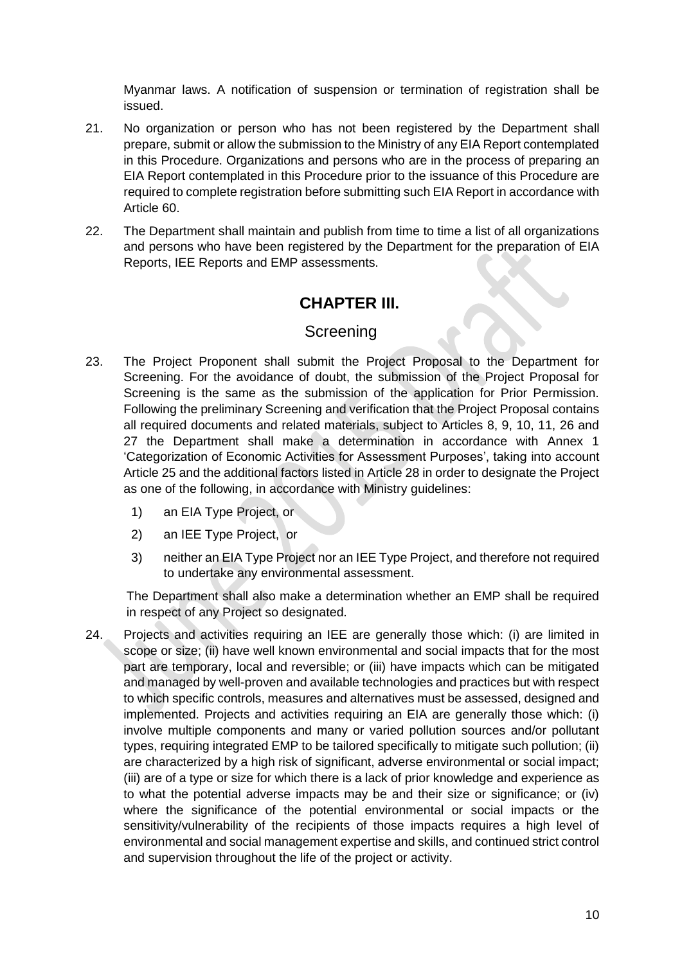Myanmar laws. A notification of suspension or termination of registration shall be issued.

- 21. No organization or person who has not been registered by the Department shall prepare, submit or allow the submission to the Ministry of any EIA Report contemplated in this Procedure. Organizations and persons who are in the process of preparing an EIA Report contemplated in this Procedure prior to the issuance of this Procedure are required to complete registration before submitting such EIA Report in accordance with Article 60.
- 22. The Department shall maintain and publish from time to time a list of all organizations and persons who have been registered by the Department for the preparation of EIA Reports, IEE Reports and EMP assessments.

# **CHAPTER III.**

## **Screening**

- 23. The Project Proponent shall submit the Project Proposal to the Department for Screening. For the avoidance of doubt, the submission of the Project Proposal for Screening is the same as the submission of the application for Prior Permission. Following the preliminary Screening and verification that the Project Proposal contains all required documents and related materials, subject to Articles 8, 9, 10, 11, 26 and 27 the Department shall make a determination in accordance with Annex 1 'Categorization of Economic Activities for Assessment Purposes', taking into account Article 25 and the additional factors listed in Article 28 in order to designate the Project as one of the following, in accordance with Ministry guidelines:
	- 1) an EIA Type Project, or
	- 2) an IEE Type Project, or
	- 3) neither an EIA Type Project nor an IEE Type Project, and therefore not required to undertake any environmental assessment.

The Department shall also make a determination whether an EMP shall be required in respect of any Project so designated.

24. Projects and activities requiring an IEE are generally those which: (i) are limited in scope or size; (ii) have well known environmental and social impacts that for the most part are temporary, local and reversible; or (iii) have impacts which can be mitigated and managed by well-proven and available technologies and practices but with respect to which specific controls, measures and alternatives must be assessed, designed and implemented. Projects and activities requiring an EIA are generally those which: (i) involve multiple components and many or varied pollution sources and/or pollutant types, requiring integrated EMP to be tailored specifically to mitigate such pollution; (ii) are characterized by a high risk of significant, adverse environmental or social impact; (iii) are of a type or size for which there is a lack of prior knowledge and experience as to what the potential adverse impacts may be and their size or significance; or (iv) where the significance of the potential environmental or social impacts or the sensitivity/vulnerability of the recipients of those impacts requires a high level of environmental and social management expertise and skills, and continued strict control and supervision throughout the life of the project or activity.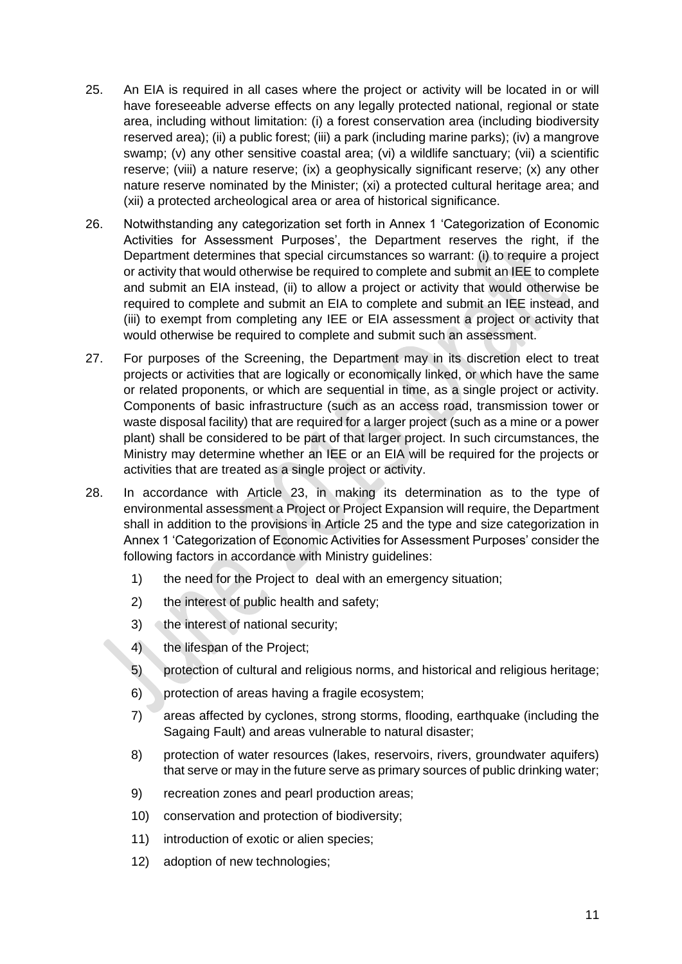- 25. An EIA is required in all cases where the project or activity will be located in or will have foreseeable adverse effects on any legally protected national, regional or state area, including without limitation: (i) a forest conservation area (including biodiversity reserved area); (ii) a public forest; (iii) a park (including marine parks); (iv) a mangrove swamp; (v) any other sensitive coastal area; (vi) a wildlife sanctuary; (vii) a scientific reserve; (viii) a nature reserve; (ix) a geophysically significant reserve; (x) any other nature reserve nominated by the Minister; (xi) a protected cultural heritage area; and (xii) a protected archeological area or area of historical significance.
- 26. Notwithstanding any categorization set forth in Annex 1 'Categorization of Economic Activities for Assessment Purposes', the Department reserves the right, if the Department determines that special circumstances so warrant: (i) to require a project or activity that would otherwise be required to complete and submit an IEE to complete and submit an EIA instead, (ii) to allow a project or activity that would otherwise be required to complete and submit an EIA to complete and submit an IEE instead, and (iii) to exempt from completing any IEE or EIA assessment a project or activity that would otherwise be required to complete and submit such an assessment.
- 27. For purposes of the Screening, the Department may in its discretion elect to treat projects or activities that are logically or economically linked, or which have the same or related proponents, or which are sequential in time, as a single project or activity. Components of basic infrastructure (such as an access road, transmission tower or waste disposal facility) that are required for a larger project (such as a mine or a power plant) shall be considered to be part of that larger project. In such circumstances, the Ministry may determine whether an IEE or an EIA will be required for the projects or activities that are treated as a single project or activity.
- 28. In accordance with Article 23, in making its determination as to the type of environmental assessment a Project or Project Expansion will require, the Department shall in addition to the provisions in Article 25 and the type and size categorization in Annex 1 'Categorization of Economic Activities for Assessment Purposes' consider the following factors in accordance with Ministry guidelines:
	- 1) the need for the Project to deal with an emergency situation;
	- 2) the interest of public health and safety;
	- 3) the interest of national security;
	- 4) the lifespan of the Project;
	- 5) protection of cultural and religious norms, and historical and religious heritage;
	- 6) protection of areas having a fragile ecosystem;
	- 7) areas affected by cyclones, strong storms, flooding, earthquake (including the Sagaing Fault) and areas vulnerable to natural disaster;
	- 8) protection of water resources (lakes, reservoirs, rivers, groundwater aquifers) that serve or may in the future serve as primary sources of public drinking water;
	- 9) recreation zones and pearl production areas;
	- 10) conservation and protection of biodiversity;
	- 11) introduction of exotic or alien species;
	- 12) adoption of new technologies;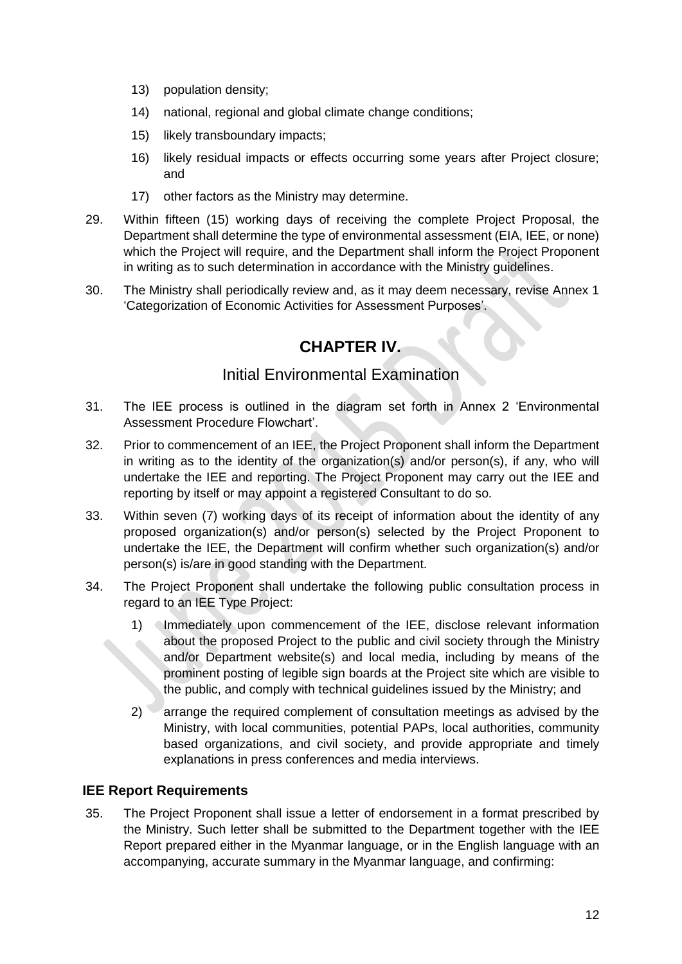- 13) population density;
- 14) national, regional and global climate change conditions;
- 15) likely transboundary impacts;
- 16) likely residual impacts or effects occurring some years after Project closure; and
- 17) other factors as the Ministry may determine.
- 29. Within fifteen (15) working days of receiving the complete Project Proposal, the Department shall determine the type of environmental assessment (EIA, IEE, or none) which the Project will require, and the Department shall inform the Project Proponent in writing as to such determination in accordance with the Ministry guidelines.
- 30. The Ministry shall periodically review and, as it may deem necessary, revise Annex 1 'Categorization of Economic Activities for Assessment Purposes'.

# **CHAPTER IV.**

## Initial Environmental Examination

- 31. The IEE process is outlined in the diagram set forth in Annex 2 'Environmental Assessment Procedure Flowchart'.
- 32. Prior to commencement of an IEE, the Project Proponent shall inform the Department in writing as to the identity of the organization(s) and/or person(s), if any, who will undertake the IEE and reporting. The Project Proponent may carry out the IEE and reporting by itself or may appoint a registered Consultant to do so.
- 33. Within seven (7) working days of its receipt of information about the identity of any proposed organization(s) and/or person(s) selected by the Project Proponent to undertake the IEE, the Department will confirm whether such organization(s) and/or person(s) is/are in good standing with the Department.
- 34. The Project Proponent shall undertake the following public consultation process in regard to an IEE Type Project:
	- 1) Immediately upon commencement of the IEE, disclose relevant information about the proposed Project to the public and civil society through the Ministry and/or Department website(s) and local media, including by means of the prominent posting of legible sign boards at the Project site which are visible to the public, and comply with technical guidelines issued by the Ministry; and
	- 2) arrange the required complement of consultation meetings as advised by the Ministry, with local communities, potential PAPs, local authorities, community based organizations, and civil society, and provide appropriate and timely explanations in press conferences and media interviews.

### **IEE Report Requirements**

35. The Project Proponent shall issue a letter of endorsement in a format prescribed by the Ministry. Such letter shall be submitted to the Department together with the IEE Report prepared either in the Myanmar language, or in the English language with an accompanying, accurate summary in the Myanmar language, and confirming: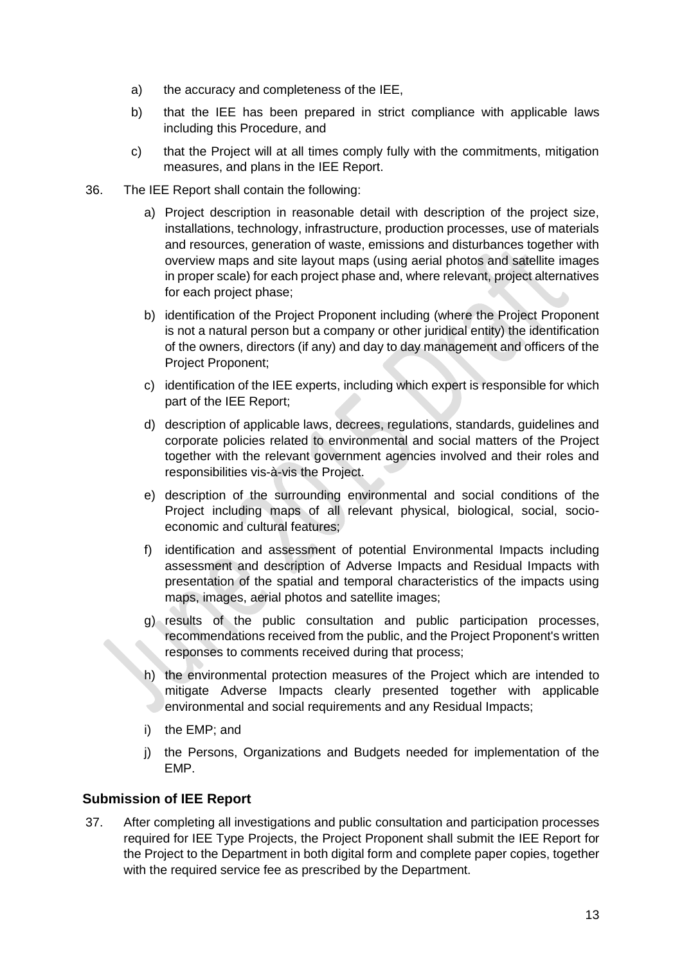- a) the accuracy and completeness of the IEE,
- b) that the IEE has been prepared in strict compliance with applicable laws including this Procedure, and
- c) that the Project will at all times comply fully with the commitments, mitigation measures, and plans in the IEE Report.
- 36. The IEE Report shall contain the following:
	- a) Project description in reasonable detail with description of the project size, installations, technology, infrastructure, production processes, use of materials and resources, generation of waste, emissions and disturbances together with overview maps and site layout maps (using aerial photos and satellite images in proper scale) for each project phase and, where relevant, project alternatives for each project phase;
	- b) identification of the Project Proponent including (where the Project Proponent is not a natural person but a company or other juridical entity) the identification of the owners, directors (if any) and day to day management and officers of the Project Proponent;
	- c) identification of the IEE experts, including which expert is responsible for which part of the IEE Report;
	- d) description of applicable laws, decrees, regulations, standards, guidelines and corporate policies related to environmental and social matters of the Project together with the relevant government agencies involved and their roles and responsibilities vis-à-vis the Project.
	- e) description of the surrounding environmental and social conditions of the Project including maps of all relevant physical, biological, social, socioeconomic and cultural features;
	- f) identification and assessment of potential Environmental Impacts including assessment and description of Adverse Impacts and Residual Impacts with presentation of the spatial and temporal characteristics of the impacts using maps, images, aerial photos and satellite images;
	- g) results of the public consultation and public participation processes, recommendations received from the public, and the Project Proponent's written responses to comments received during that process;
	- h) the environmental protection measures of the Project which are intended to mitigate Adverse Impacts clearly presented together with applicable environmental and social requirements and any Residual Impacts;
	- i) the EMP; and
	- j) the Persons, Organizations and Budgets needed for implementation of the EMP.

### **Submission of IEE Report**

37. After completing all investigations and public consultation and participation processes required for IEE Type Projects, the Project Proponent shall submit the IEE Report for the Project to the Department in both digital form and complete paper copies, together with the required service fee as prescribed by the Department.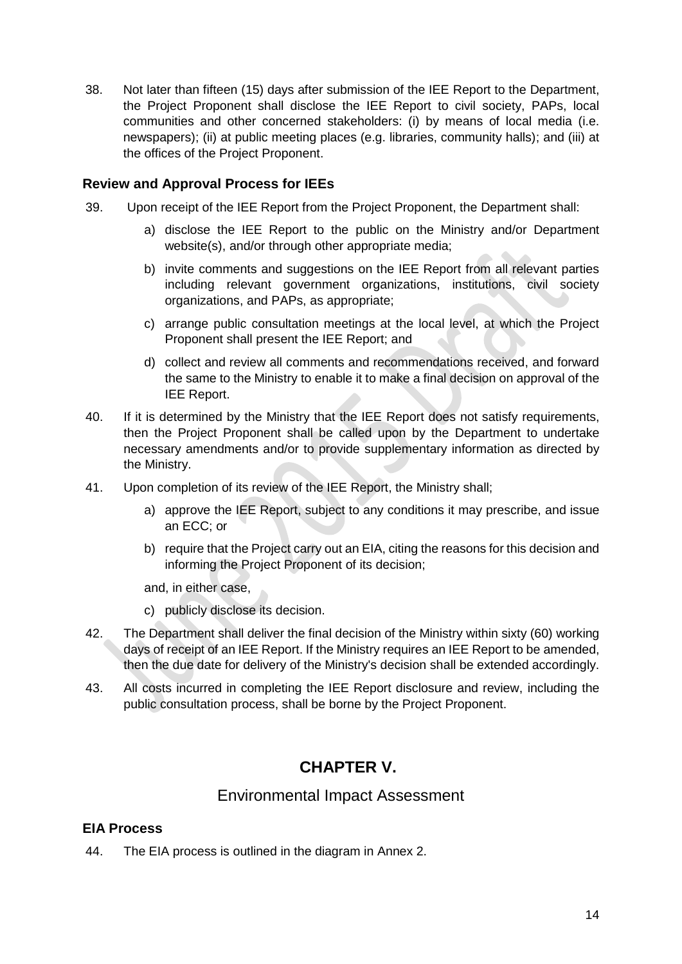38. Not later than fifteen (15) days after submission of the IEE Report to the Department, the Project Proponent shall disclose the IEE Report to civil society, PAPs, local communities and other concerned stakeholders: (i) by means of local media (i.e. newspapers); (ii) at public meeting places (e.g. libraries, community halls); and (iii) at the offices of the Project Proponent.

### **Review and Approval Process for IEEs**

- 39. Upon receipt of the IEE Report from the Project Proponent, the Department shall:
	- a) disclose the IEE Report to the public on the Ministry and/or Department website(s), and/or through other appropriate media;
	- b) invite comments and suggestions on the IEE Report from all relevant parties including relevant government organizations, institutions, civil society organizations, and PAPs, as appropriate;
	- c) arrange public consultation meetings at the local level, at which the Project Proponent shall present the IEE Report; and
	- d) collect and review all comments and recommendations received, and forward the same to the Ministry to enable it to make a final decision on approval of the IEE Report.
- 40. If it is determined by the Ministry that the IEE Report does not satisfy requirements, then the Project Proponent shall be called upon by the Department to undertake necessary amendments and/or to provide supplementary information as directed by the Ministry.
- 41. Upon completion of its review of the IEE Report, the Ministry shall;
	- a) approve the IEE Report, subject to any conditions it may prescribe, and issue an ECC; or
	- b) require that the Project carry out an EIA, citing the reasons for this decision and informing the Project Proponent of its decision;

and, in either case,

- c) publicly disclose its decision.
- 42. The Department shall deliver the final decision of the Ministry within sixty (60) working days of receipt of an IEE Report. If the Ministry requires an IEE Report to be amended, then the due date for delivery of the Ministry's decision shall be extended accordingly.
- 43. All costs incurred in completing the IEE Report disclosure and review, including the public consultation process, shall be borne by the Project Proponent.

# **CHAPTER V.**

### Environmental Impact Assessment

### **EIA Process**

44. The EIA process is outlined in the diagram in Annex 2.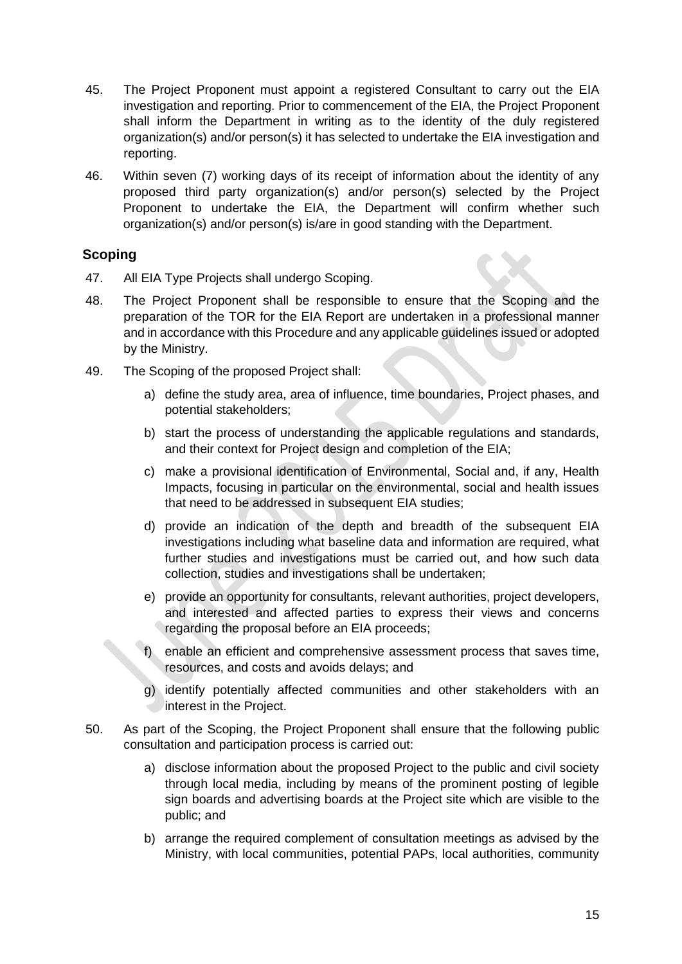- 45. The Project Proponent must appoint a registered Consultant to carry out the EIA investigation and reporting. Prior to commencement of the EIA, the Project Proponent shall inform the Department in writing as to the identity of the duly registered organization(s) and/or person(s) it has selected to undertake the EIA investigation and reporting.
- 46. Within seven (7) working days of its receipt of information about the identity of any proposed third party organization(s) and/or person(s) selected by the Project Proponent to undertake the EIA, the Department will confirm whether such organization(s) and/or person(s) is/are in good standing with the Department.

### **Scoping**

- 47. All EIA Type Projects shall undergo Scoping.
- 48. The Project Proponent shall be responsible to ensure that the Scoping and the preparation of the TOR for the EIA Report are undertaken in a professional manner and in accordance with this Procedure and any applicable guidelines issued or adopted by the Ministry.
- 49. The Scoping of the proposed Project shall:
	- a) define the study area, area of influence, time boundaries, Project phases, and potential stakeholders;
	- b) start the process of understanding the applicable regulations and standards, and their context for Project design and completion of the EIA;
	- c) make a provisional identification of Environmental, Social and, if any, Health Impacts, focusing in particular on the environmental, social and health issues that need to be addressed in subsequent EIA studies;
	- d) provide an indication of the depth and breadth of the subsequent EIA investigations including what baseline data and information are required, what further studies and investigations must be carried out, and how such data collection, studies and investigations shall be undertaken;
	- e) provide an opportunity for consultants, relevant authorities, project developers, and interested and affected parties to express their views and concerns regarding the proposal before an EIA proceeds;
	- f) enable an efficient and comprehensive assessment process that saves time, resources, and costs and avoids delays; and
	- g) identify potentially affected communities and other stakeholders with an interest in the Project.
- 50. As part of the Scoping, the Project Proponent shall ensure that the following public consultation and participation process is carried out:
	- a) disclose information about the proposed Project to the public and civil society through local media, including by means of the prominent posting of legible sign boards and advertising boards at the Project site which are visible to the public; and
	- b) arrange the required complement of consultation meetings as advised by the Ministry, with local communities, potential PAPs, local authorities, community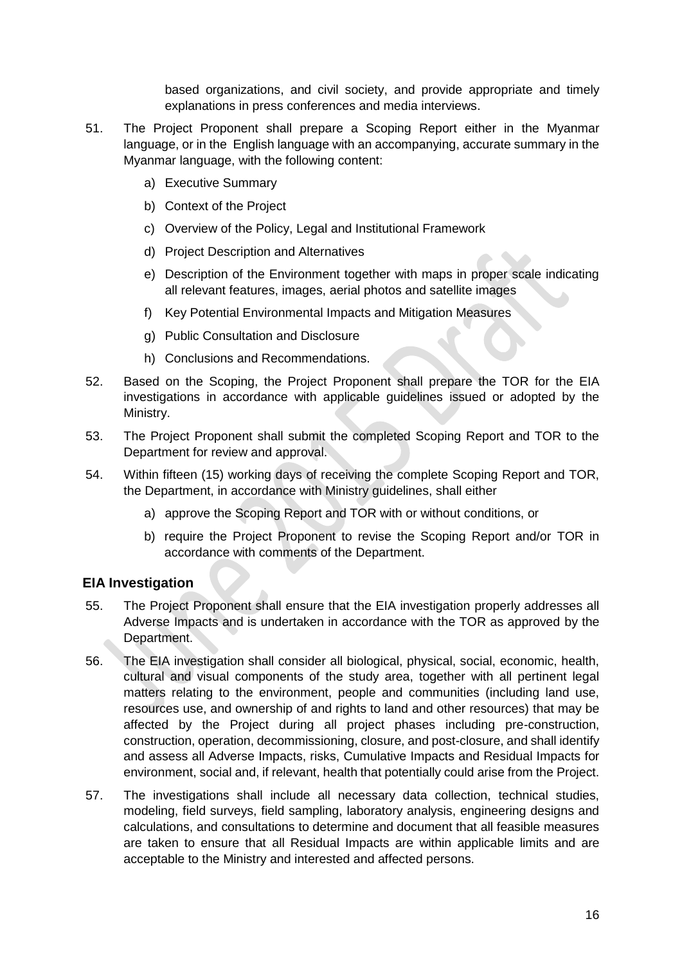based organizations, and civil society, and provide appropriate and timely explanations in press conferences and media interviews.

- 51. The Project Proponent shall prepare a Scoping Report either in the Myanmar language, or in the English language with an accompanying, accurate summary in the Myanmar language, with the following content:
	- a) Executive Summary
	- b) Context of the Project
	- c) Overview of the Policy, Legal and Institutional Framework
	- d) Project Description and Alternatives
	- e) Description of the Environment together with maps in proper scale indicating all relevant features, images, aerial photos and satellite images
	- f) Key Potential Environmental Impacts and Mitigation Measures
	- g) Public Consultation and Disclosure
	- h) Conclusions and Recommendations.
- 52. Based on the Scoping, the Project Proponent shall prepare the TOR for the EIA investigations in accordance with applicable guidelines issued or adopted by the Ministry.
- 53. The Project Proponent shall submit the completed Scoping Report and TOR to the Department for review and approval.
- 54. Within fifteen (15) working days of receiving the complete Scoping Report and TOR, the Department, in accordance with Ministry guidelines, shall either
	- a) approve the Scoping Report and TOR with or without conditions, or
	- b) require the Project Proponent to revise the Scoping Report and/or TOR in accordance with comments of the Department.

### **EIA Investigation**

- 55. The Project Proponent shall ensure that the EIA investigation properly addresses all Adverse Impacts and is undertaken in accordance with the TOR as approved by the Department.
- 56. The EIA investigation shall consider all biological, physical, social, economic, health, cultural and visual components of the study area, together with all pertinent legal matters relating to the environment, people and communities (including land use, resources use, and ownership of and rights to land and other resources) that may be affected by the Project during all project phases including pre-construction, construction, operation, decommissioning, closure, and post-closure, and shall identify and assess all Adverse Impacts, risks, Cumulative Impacts and Residual Impacts for environment, social and, if relevant, health that potentially could arise from the Project.
- 57. The investigations shall include all necessary data collection, technical studies, modeling, field surveys, field sampling, laboratory analysis, engineering designs and calculations, and consultations to determine and document that all feasible measures are taken to ensure that all Residual Impacts are within applicable limits and are acceptable to the Ministry and interested and affected persons.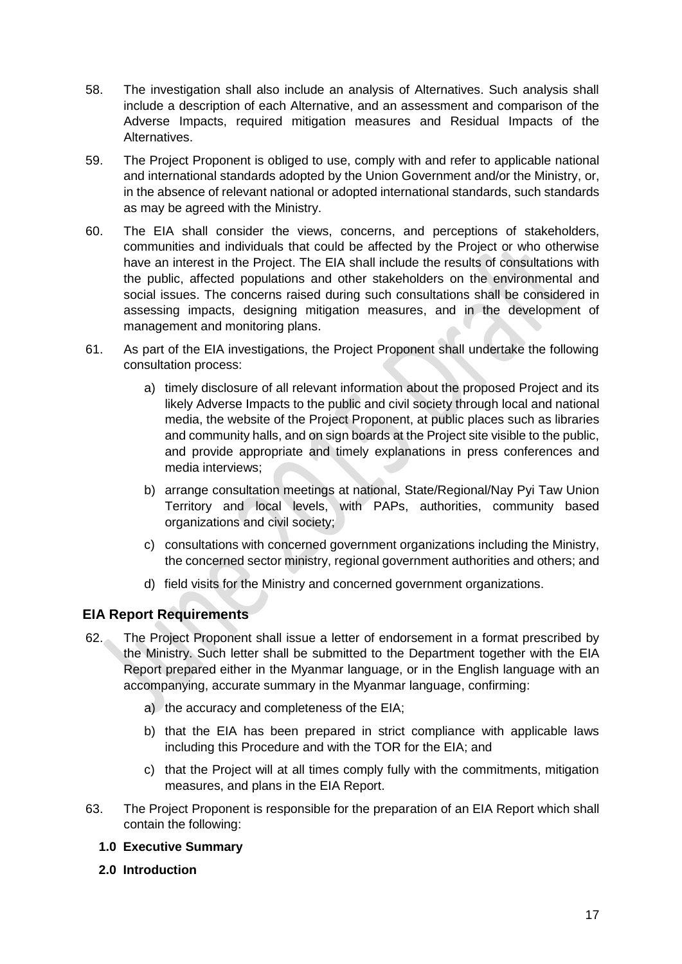- 58. The investigation shall also include an analysis of Alternatives. Such analysis shall include a description of each Alternative, and an assessment and comparison of the Adverse Impacts, required mitigation measures and Residual Impacts of the Alternatives.
- 59. The Project Proponent is obliged to use, comply with and refer to applicable national and international standards adopted by the Union Government and/or the Ministry, or, in the absence of relevant national or adopted international standards, such standards as may be agreed with the Ministry.
- 60. The EIA shall consider the views, concerns, and perceptions of stakeholders, communities and individuals that could be affected by the Project or who otherwise have an interest in the Project. The EIA shall include the results of consultations with the public, affected populations and other stakeholders on the environmental and social issues. The concerns raised during such consultations shall be considered in assessing impacts, designing mitigation measures, and in the development of management and monitoring plans.
- 61. As part of the EIA investigations, the Project Proponent shall undertake the following consultation process:
	- a) timely disclosure of all relevant information about the proposed Project and its likely Adverse Impacts to the public and civil society through local and national media, the website of the Project Proponent, at public places such as libraries and community halls, and on sign boards at the Project site visible to the public, and provide appropriate and timely explanations in press conferences and media interviews;
	- b) arrange consultation meetings at national, State/Regional/Nay Pyi Taw Union Territory and local levels, with PAPs, authorities, community based organizations and civil society;
	- c) consultations with concerned government organizations including the Ministry, the concerned sector ministry, regional government authorities and others; and
	- d) field visits for the Ministry and concerned government organizations.

### **EIA Report Requirements**

- 62. The Project Proponent shall issue a letter of endorsement in a format prescribed by the Ministry. Such letter shall be submitted to the Department together with the EIA Report prepared either in the Myanmar language, or in the English language with an accompanying, accurate summary in the Myanmar language, confirming:
	- a) the accuracy and completeness of the EIA;
	- b) that the EIA has been prepared in strict compliance with applicable laws including this Procedure and with the TOR for the EIA; and
	- c) that the Project will at all times comply fully with the commitments, mitigation measures, and plans in the EIA Report.
- 63. The Project Proponent is responsible for the preparation of an EIA Report which shall contain the following:
	- **1.0 Executive Summary**
	- **2.0 Introduction**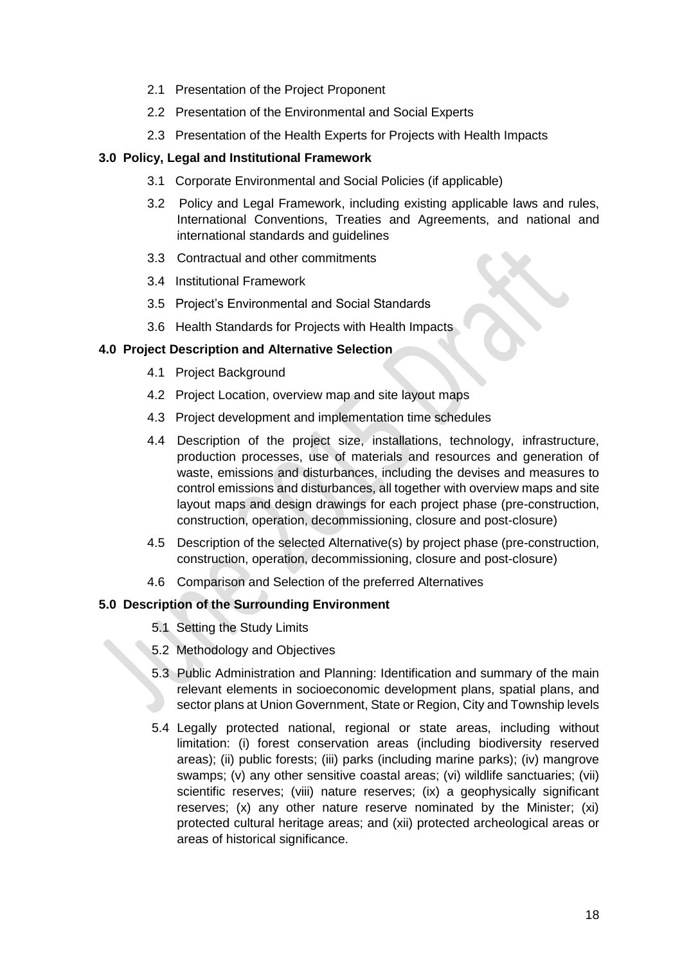- 2.1 Presentation of the Project Proponent
- 2.2 Presentation of the Environmental and Social Experts
- 2.3 Presentation of the Health Experts for Projects with Health Impacts

#### **3.0 Policy, Legal and Institutional Framework**

- 3.1 Corporate Environmental and Social Policies (if applicable)
- 3.2 Policy and Legal Framework, including existing applicable laws and rules, International Conventions, Treaties and Agreements, and national and international standards and guidelines
- 3.3 Contractual and other commitments
- 3.4 Institutional Framework
- 3.5 Project's Environmental and Social Standards
- 3.6 Health Standards for Projects with Health Impacts

#### **4.0 Project Description and Alternative Selection**

- 4.1 Project Background
- 4.2 Project Location, overview map and site layout maps
- 4.3 Project development and implementation time schedules
- 4.4 Description of the project size, installations, technology, infrastructure, production processes, use of materials and resources and generation of waste, emissions and disturbances, including the devises and measures to control emissions and disturbances, all together with overview maps and site layout maps and design drawings for each project phase (pre-construction, construction, operation, decommissioning, closure and post-closure)
- 4.5 Description of the selected Alternative(s) by project phase (pre-construction, construction, operation, decommissioning, closure and post-closure)
- 4.6 Comparison and Selection of the preferred Alternatives

#### **5.0 Description of the Surrounding Environment**

- 5.1 Setting the Study Limits
- 5.2 Methodology and Objectives
- 5.3 Public Administration and Planning: Identification and summary of the main relevant elements in socioeconomic development plans, spatial plans, and sector plans at Union Government, State or Region, City and Township levels
- 5.4 Legally protected national, regional or state areas, including without limitation: (i) forest conservation areas (including biodiversity reserved areas); (ii) public forests; (iii) parks (including marine parks); (iv) mangrove swamps; (v) any other sensitive coastal areas; (vi) wildlife sanctuaries; (vii) scientific reserves; (viii) nature reserves; (ix) a geophysically significant reserves; (x) any other nature reserve nominated by the Minister; (xi) protected cultural heritage areas; and (xii) protected archeological areas or areas of historical significance.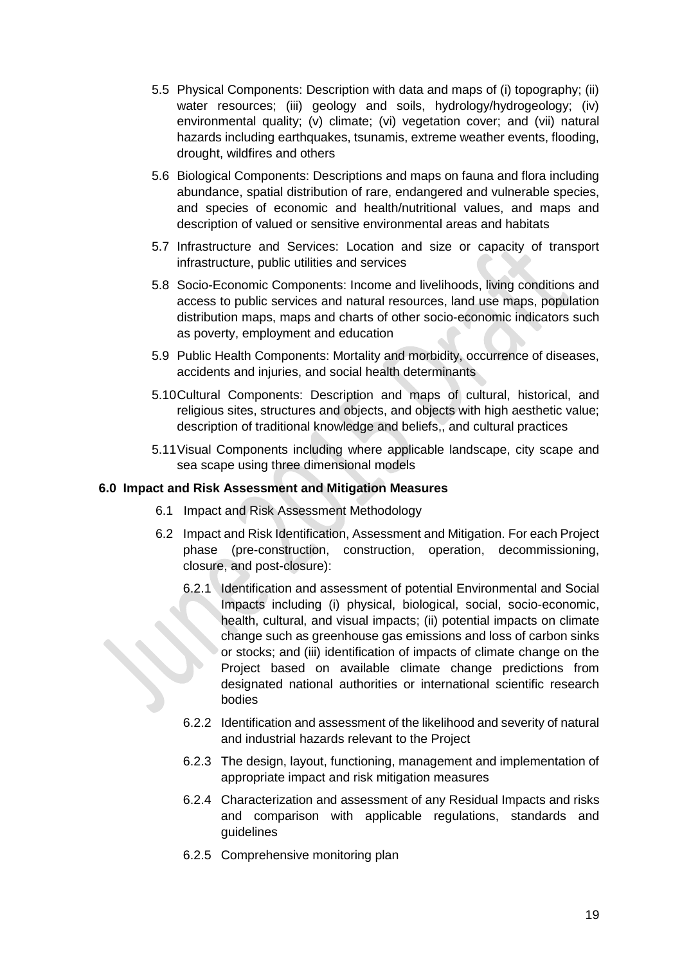- 5.5 Physical Components: Description with data and maps of (i) topography; (ii) water resources; (iii) geology and soils, hydrology/hydrogeology; (iv) environmental quality; (v) climate; (vi) vegetation cover; and (vii) natural hazards including earthquakes, tsunamis, extreme weather events, flooding, drought, wildfires and others
- 5.6 Biological Components: Descriptions and maps on fauna and flora including abundance, spatial distribution of rare, endangered and vulnerable species, and species of economic and health/nutritional values, and maps and description of valued or sensitive environmental areas and habitats
- 5.7 Infrastructure and Services: Location and size or capacity of transport infrastructure, public utilities and services
- 5.8 Socio-Economic Components: Income and livelihoods, living conditions and access to public services and natural resources, land use maps, population distribution maps, maps and charts of other socio-economic indicators such as poverty, employment and education
- 5.9 Public Health Components: Mortality and morbidity, occurrence of diseases, accidents and injuries, and social health determinants
- 5.10Cultural Components: Description and maps of cultural, historical, and religious sites, structures and objects, and objects with high aesthetic value; description of traditional knowledge and beliefs,, and cultural practices
- 5.11Visual Components including where applicable landscape, city scape and sea scape using three dimensional models

#### **6.0 Impact and Risk Assessment and Mitigation Measures**

- 6.1 Impact and Risk Assessment Methodology
- 6.2 Impact and Risk Identification, Assessment and Mitigation. For each Project phase (pre-construction, construction, operation, decommissioning, closure, and post-closure):
	- 6.2.1 Identification and assessment of potential Environmental and Social Impacts including (i) physical, biological, social, socio-economic, health, cultural, and visual impacts; (ii) potential impacts on climate change such as greenhouse gas emissions and loss of carbon sinks or stocks; and (iii) identification of impacts of climate change on the Project based on available climate change predictions from designated national authorities or international scientific research bodies
	- 6.2.2 Identification and assessment of the likelihood and severity of natural and industrial hazards relevant to the Project
	- 6.2.3 The design, layout, functioning, management and implementation of appropriate impact and risk mitigation measures
	- 6.2.4 Characterization and assessment of any Residual Impacts and risks and comparison with applicable regulations, standards and guidelines
	- 6.2.5 Comprehensive monitoring plan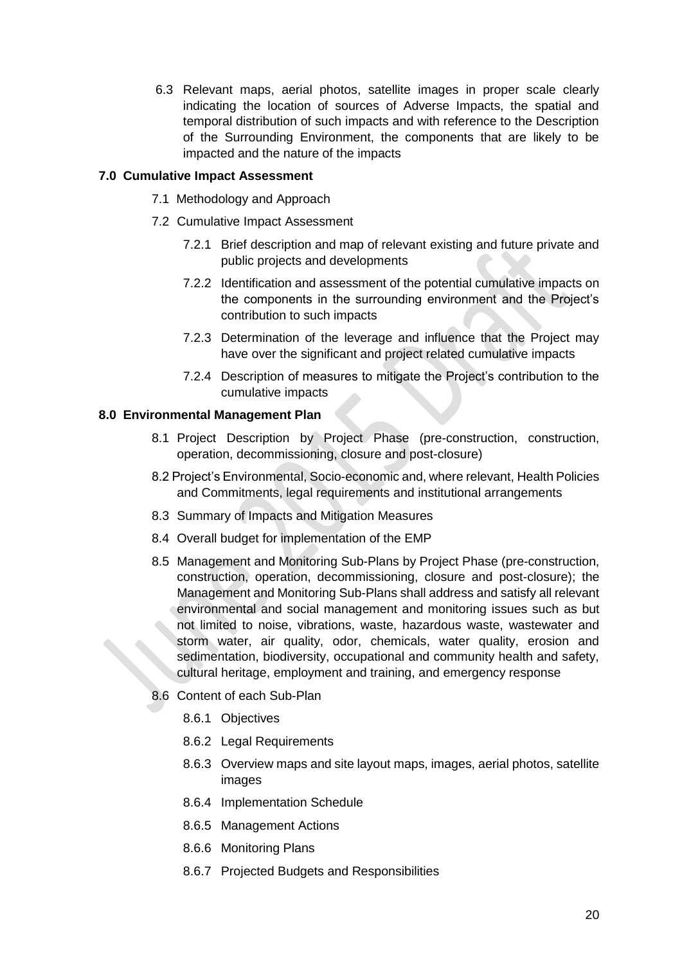6.3 Relevant maps, aerial photos, satellite images in proper scale clearly indicating the location of sources of Adverse Impacts, the spatial and temporal distribution of such impacts and with reference to the Description of the Surrounding Environment, the components that are likely to be impacted and the nature of the impacts

#### **7.0 Cumulative Impact Assessment**

- 7.1 Methodology and Approach
- 7.2 Cumulative Impact Assessment
	- 7.2.1 Brief description and map of relevant existing and future private and public projects and developments
	- 7.2.2 Identification and assessment of the potential cumulative impacts on the components in the surrounding environment and the Project's contribution to such impacts
	- 7.2.3 Determination of the leverage and influence that the Project may have over the significant and project related cumulative impacts
	- 7.2.4 Description of measures to mitigate the Project's contribution to the cumulative impacts

#### **8.0 Environmental Management Plan**

- 8.1 Project Description by Project Phase (pre-construction, construction, operation, decommissioning, closure and post-closure)
- 8.2 Project's Environmental, Socio-economic and, where relevant, Health Policies and Commitments, legal requirements and institutional arrangements
- 8.3 Summary of Impacts and Mitigation Measures
- 8.4 Overall budget for implementation of the EMP
- 8.5 Management and Monitoring Sub-Plans by Project Phase (pre-construction, construction, operation, decommissioning, closure and post-closure); the Management and Monitoring Sub-Plans shall address and satisfy all relevant environmental and social management and monitoring issues such as but not limited to noise, vibrations, waste, hazardous waste, wastewater and storm water, air quality, odor, chemicals, water quality, erosion and sedimentation, biodiversity, occupational and community health and safety, cultural heritage, employment and training, and emergency response
- 8.6 Content of each Sub-Plan
	- 8.6.1 Objectives
	- 8.6.2 Legal Requirements
	- 8.6.3 Overview maps and site layout maps, images, aerial photos, satellite images
	- 8.6.4 Implementation Schedule
	- 8.6.5 Management Actions
	- 8.6.6 Monitoring Plans
	- 8.6.7 Projected Budgets and Responsibilities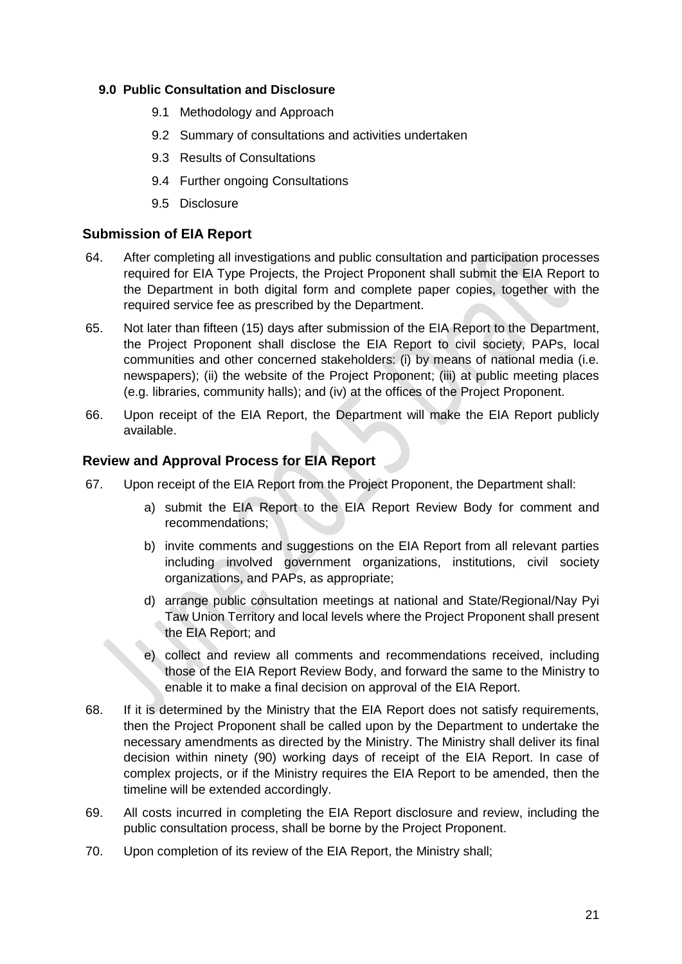#### **9.0 Public Consultation and Disclosure**

- 9.1 Methodology and Approach
- 9.2 Summary of consultations and activities undertaken
- 9.3 Results of Consultations
- 9.4 Further ongoing Consultations
- 9.5 Disclosure

#### **Submission of EIA Report**

- 64. After completing all investigations and public consultation and participation processes required for EIA Type Projects, the Project Proponent shall submit the EIA Report to the Department in both digital form and complete paper copies, together with the required service fee as prescribed by the Department.
- 65. Not later than fifteen (15) days after submission of the EIA Report to the Department, the Project Proponent shall disclose the EIA Report to civil society, PAPs, local communities and other concerned stakeholders: (i) by means of national media (i.e. newspapers); (ii) the website of the Project Proponent; (iii) at public meeting places (e.g. libraries, community halls); and (iv) at the offices of the Project Proponent.
- 66. Upon receipt of the EIA Report, the Department will make the EIA Report publicly available.

#### **Review and Approval Process for EIA Report**

- 67. Upon receipt of the EIA Report from the Project Proponent, the Department shall:
	- a) submit the EIA Report to the EIA Report Review Body for comment and recommendations;
	- b) invite comments and suggestions on the EIA Report from all relevant parties including involved government organizations, institutions, civil society organizations, and PAPs, as appropriate;
	- d) arrange public consultation meetings at national and State/Regional/Nay Pyi Taw Union Territory and local levels where the Project Proponent shall present the EIA Report; and
	- e) collect and review all comments and recommendations received, including those of the EIA Report Review Body, and forward the same to the Ministry to enable it to make a final decision on approval of the EIA Report.
- 68. If it is determined by the Ministry that the EIA Report does not satisfy requirements, then the Project Proponent shall be called upon by the Department to undertake the necessary amendments as directed by the Ministry. The Ministry shall deliver its final decision within ninety (90) working days of receipt of the EIA Report. In case of complex projects, or if the Ministry requires the EIA Report to be amended, then the timeline will be extended accordingly.
- 69. All costs incurred in completing the EIA Report disclosure and review, including the public consultation process, shall be borne by the Project Proponent.
- 70. Upon completion of its review of the EIA Report, the Ministry shall;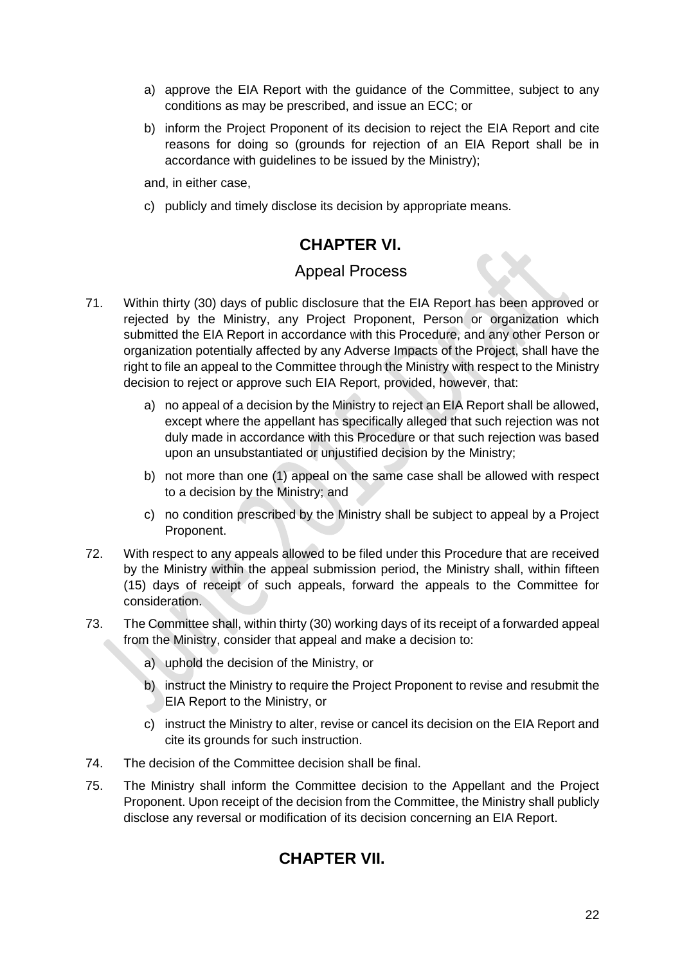- a) approve the EIA Report with the guidance of the Committee, subject to any conditions as may be prescribed, and issue an ECC; or
- b) inform the Project Proponent of its decision to reject the EIA Report and cite reasons for doing so (grounds for rejection of an EIA Report shall be in accordance with guidelines to be issued by the Ministry);

and, in either case,

c) publicly and timely disclose its decision by appropriate means.

# **CHAPTER VI.**

## Appeal Process

- 71. Within thirty (30) days of public disclosure that the EIA Report has been approved or rejected by the Ministry, any Project Proponent, Person or organization which submitted the EIA Report in accordance with this Procedure, and any other Person or organization potentially affected by any Adverse Impacts of the Project, shall have the right to file an appeal to the Committee through the Ministry with respect to the Ministry decision to reject or approve such EIA Report, provided, however, that:
	- a) no appeal of a decision by the Ministry to reject an EIA Report shall be allowed, except where the appellant has specifically alleged that such rejection was not duly made in accordance with this Procedure or that such rejection was based upon an unsubstantiated or unjustified decision by the Ministry;
	- b) not more than one (1) appeal on the same case shall be allowed with respect to a decision by the Ministry; and
	- c) no condition prescribed by the Ministry shall be subject to appeal by a Project Proponent.
- 72. With respect to any appeals allowed to be filed under this Procedure that are received by the Ministry within the appeal submission period, the Ministry shall, within fifteen (15) days of receipt of such appeals, forward the appeals to the Committee for consideration.
- 73. The Committee shall, within thirty (30) working days of its receipt of a forwarded appeal from the Ministry, consider that appeal and make a decision to:
	- a) uphold the decision of the Ministry, or
	- b) instruct the Ministry to require the Project Proponent to revise and resubmit the EIA Report to the Ministry, or
	- c) instruct the Ministry to alter, revise or cancel its decision on the EIA Report and cite its grounds for such instruction.
- 74. The decision of the Committee decision shall be final.
- 75. The Ministry shall inform the Committee decision to the Appellant and the Project Proponent. Upon receipt of the decision from the Committee, the Ministry shall publicly disclose any reversal or modification of its decision concerning an EIA Report.

# **CHAPTER VII.**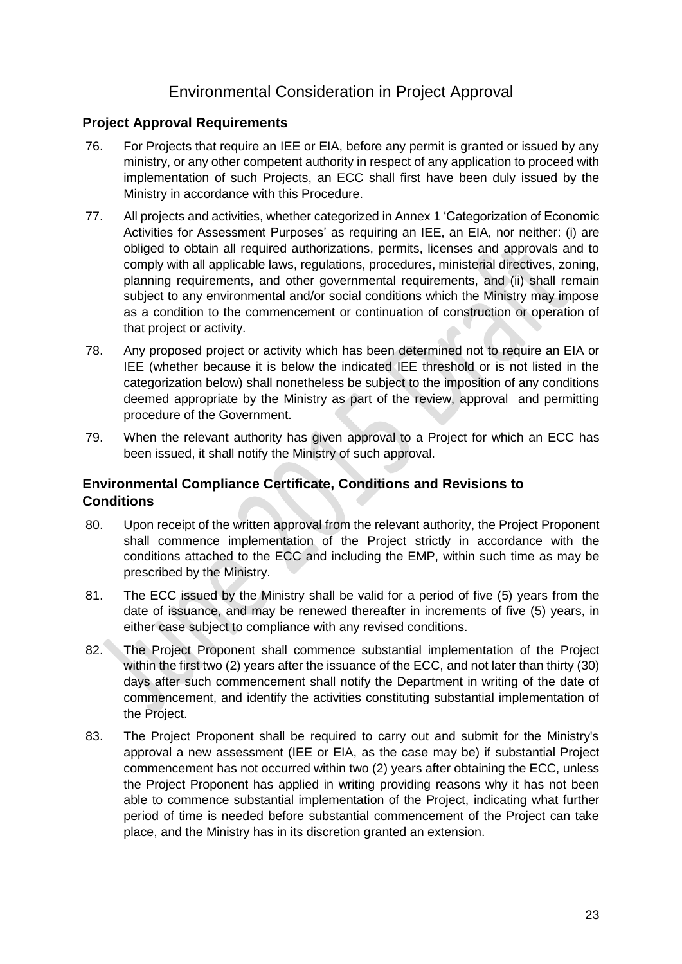## Environmental Consideration in Project Approval

#### **Project Approval Requirements**

- 76. For Projects that require an IEE or EIA, before any permit is granted or issued by any ministry, or any other competent authority in respect of any application to proceed with implementation of such Projects, an ECC shall first have been duly issued by the Ministry in accordance with this Procedure.
- 77. All projects and activities, whether categorized in Annex 1 'Categorization of Economic Activities for Assessment Purposes' as requiring an IEE, an EIA, nor neither: (i) are obliged to obtain all required authorizations, permits, licenses and approvals and to comply with all applicable laws, regulations, procedures, ministerial directives, zoning, planning requirements, and other governmental requirements, and (ii) shall remain subject to any environmental and/or social conditions which the Ministry may impose as a condition to the commencement or continuation of construction or operation of that project or activity.
- 78. Any proposed project or activity which has been determined not to require an EIA or IEE (whether because it is below the indicated IEE threshold or is not listed in the categorization below) shall nonetheless be subject to the imposition of any conditions deemed appropriate by the Ministry as part of the review, approval and permitting procedure of the Government.
- 79. When the relevant authority has given approval to a Project for which an ECC has been issued, it shall notify the Ministry of such approval.

### **Environmental Compliance Certificate, Conditions and Revisions to Conditions**

- 80. Upon receipt of the written approval from the relevant authority, the Project Proponent shall commence implementation of the Project strictly in accordance with the conditions attached to the ECC and including the EMP, within such time as may be prescribed by the Ministry.
- 81. The ECC issued by the Ministry shall be valid for a period of five (5) years from the date of issuance, and may be renewed thereafter in increments of five (5) years, in either case subject to compliance with any revised conditions.
- 82. The Project Proponent shall commence substantial implementation of the Project within the first two (2) years after the issuance of the ECC, and not later than thirty (30) days after such commencement shall notify the Department in writing of the date of commencement, and identify the activities constituting substantial implementation of the Project.
- 83. The Project Proponent shall be required to carry out and submit for the Ministry's approval a new assessment (IEE or EIA, as the case may be) if substantial Project commencement has not occurred within two (2) years after obtaining the ECC, unless the Project Proponent has applied in writing providing reasons why it has not been able to commence substantial implementation of the Project, indicating what further period of time is needed before substantial commencement of the Project can take place, and the Ministry has in its discretion granted an extension.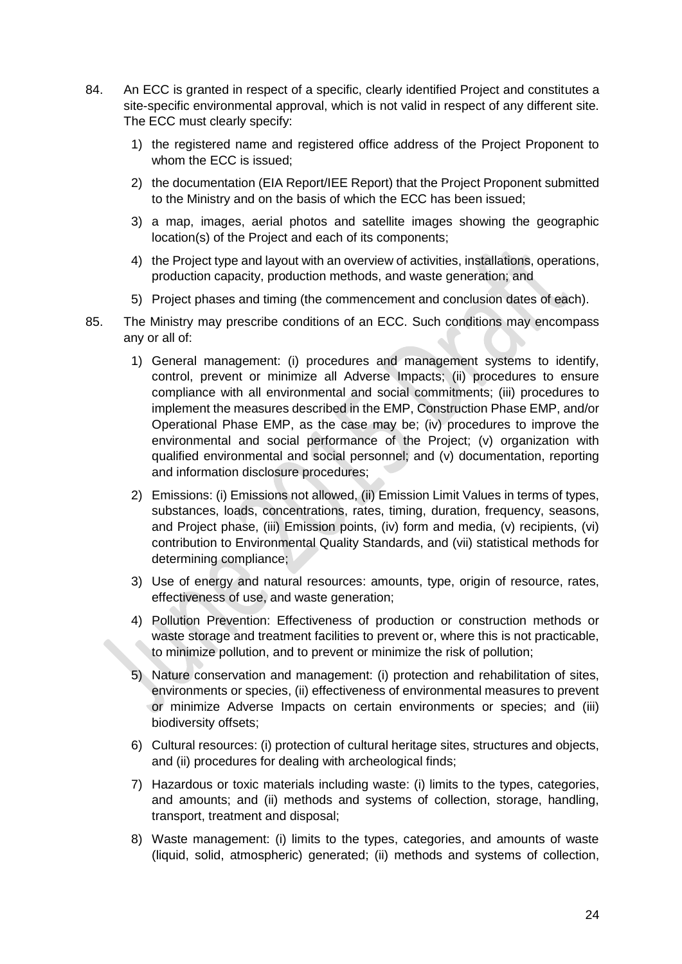- 84. An ECC is granted in respect of a specific, clearly identified Project and constitutes a site-specific environmental approval, which is not valid in respect of any different site. The ECC must clearly specify:
	- 1) the registered name and registered office address of the Project Proponent to whom the ECC is issued;
	- 2) the documentation (EIA Report/IEE Report) that the Project Proponent submitted to the Ministry and on the basis of which the ECC has been issued;
	- 3) a map, images, aerial photos and satellite images showing the geographic location(s) of the Project and each of its components;
	- 4) the Project type and layout with an overview of activities, installations, operations, production capacity, production methods, and waste generation; and
	- 5) Project phases and timing (the commencement and conclusion dates of each).
- 85. The Ministry may prescribe conditions of an ECC. Such conditions may encompass any or all of:
	- 1) General management: (i) procedures and management systems to identify, control, prevent or minimize all Adverse Impacts; (ii) procedures to ensure compliance with all environmental and social commitments; (iii) procedures to implement the measures described in the EMP, Construction Phase EMP, and/or Operational Phase EMP, as the case may be; (iv) procedures to improve the environmental and social performance of the Project; (v) organization with qualified environmental and social personnel; and (v) documentation, reporting and information disclosure procedures;
	- 2) Emissions: (i) Emissions not allowed, (ii) Emission Limit Values in terms of types, substances, loads, concentrations, rates, timing, duration, frequency, seasons, and Project phase, (iii) Emission points, (iv) form and media, (v) recipients, (vi) contribution to Environmental Quality Standards, and (vii) statistical methods for determining compliance;
	- 3) Use of energy and natural resources: amounts, type, origin of resource, rates, effectiveness of use, and waste generation;
	- 4) Pollution Prevention: Effectiveness of production or construction methods or waste storage and treatment facilities to prevent or, where this is not practicable, to minimize pollution, and to prevent or minimize the risk of pollution;
	- 5) Nature conservation and management: (i) protection and rehabilitation of sites, environments or species, (ii) effectiveness of environmental measures to prevent or minimize Adverse Impacts on certain environments or species; and (iii) biodiversity offsets;
	- 6) Cultural resources: (i) protection of cultural heritage sites, structures and objects, and (ii) procedures for dealing with archeological finds;
	- 7) Hazardous or toxic materials including waste: (i) limits to the types, categories, and amounts; and (ii) methods and systems of collection, storage, handling, transport, treatment and disposal;
	- 8) Waste management: (i) limits to the types, categories, and amounts of waste (liquid, solid, atmospheric) generated; (ii) methods and systems of collection,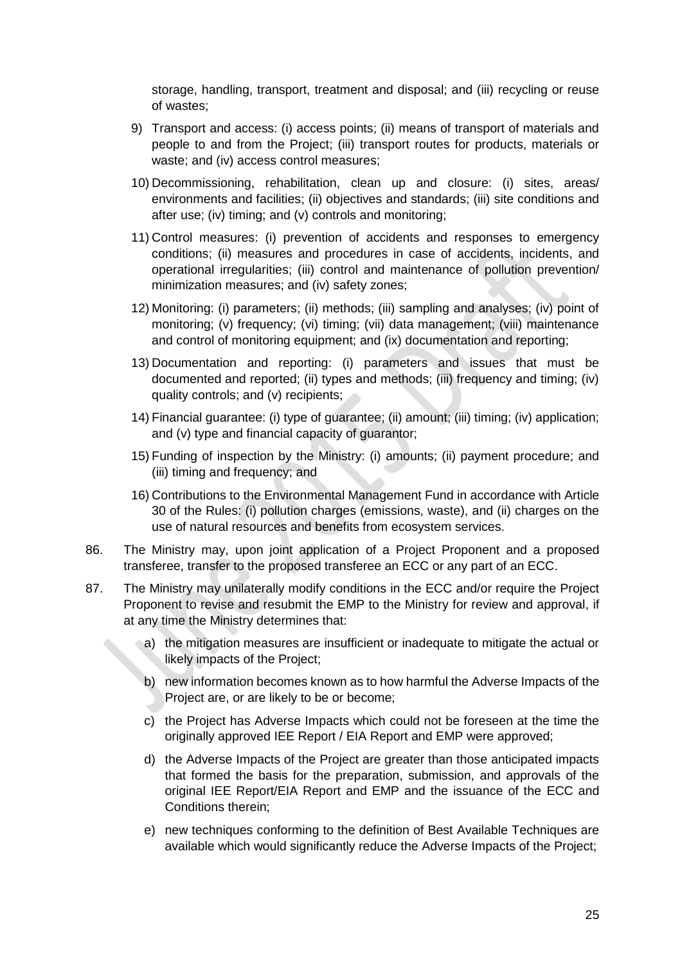storage, handling, transport, treatment and disposal; and (iii) recycling or reuse of wastes;

- 9) Transport and access: (i) access points; (ii) means of transport of materials and people to and from the Project; (iii) transport routes for products, materials or waste; and (iv) access control measures;
- 10) Decommissioning, rehabilitation, clean up and closure: (i) sites, areas/ environments and facilities; (ii) objectives and standards; (iii) site conditions and after use; (iv) timing; and (v) controls and monitoring;
- 11) Control measures: (i) prevention of accidents and responses to emergency conditions; (ii) measures and procedures in case of accidents, incidents, and operational irregularities; (iii) control and maintenance of pollution prevention/ minimization measures; and (iv) safety zones;
- 12) Monitoring: (i) parameters; (ii) methods; (iii) sampling and analyses; (iv) point of monitoring; (v) frequency; (vi) timing; (vii) data management; (viii) maintenance and control of monitoring equipment; and (ix) documentation and reporting;
- 13) Documentation and reporting: (i) parameters and issues that must be documented and reported; (ii) types and methods; (iii) frequency and timing; (iv) quality controls; and (v) recipients;
- 14) Financial guarantee: (i) type of guarantee; (ii) amount; (iii) timing; (iv) application; and (v) type and financial capacity of guarantor;
- 15) Funding of inspection by the Ministry: (i) amounts; (ii) payment procedure; and (iii) timing and frequency; and
- 16) Contributions to the Environmental Management Fund in accordance with Article 30 of the Rules: (i) pollution charges (emissions, waste), and (ii) charges on the use of natural resources and benefits from ecosystem services.
- 86. The Ministry may, upon joint application of a Project Proponent and a proposed transferee, transfer to the proposed transferee an ECC or any part of an ECC.
- 87. The Ministry may unilaterally modify conditions in the ECC and/or require the Project Proponent to revise and resubmit the EMP to the Ministry for review and approval, if at any time the Ministry determines that:
	- a) the mitigation measures are insufficient or inadequate to mitigate the actual or likely impacts of the Project;
		- b) new information becomes known as to how harmful the Adverse Impacts of the Project are, or are likely to be or become;
		- c) the Project has Adverse Impacts which could not be foreseen at the time the originally approved IEE Report / EIA Report and EMP were approved;
		- d) the Adverse Impacts of the Project are greater than those anticipated impacts that formed the basis for the preparation, submission, and approvals of the original IEE Report/EIA Report and EMP and the issuance of the ECC and Conditions therein;
		- e) new techniques conforming to the definition of Best Available Techniques are available which would significantly reduce the Adverse Impacts of the Project;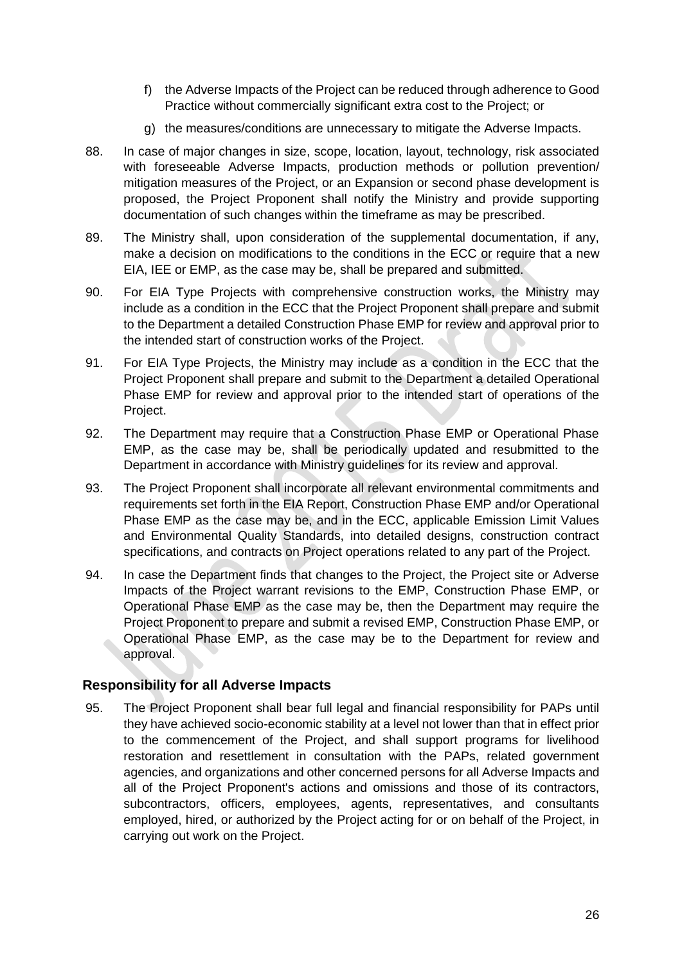- f) the Adverse Impacts of the Project can be reduced through adherence to Good Practice without commercially significant extra cost to the Project; or
- g) the measures/conditions are unnecessary to mitigate the Adverse Impacts.
- 88. In case of major changes in size, scope, location, layout, technology, risk associated with foreseeable Adverse Impacts, production methods or pollution prevention/ mitigation measures of the Project, or an Expansion or second phase development is proposed, the Project Proponent shall notify the Ministry and provide supporting documentation of such changes within the timeframe as may be prescribed.
- 89. The Ministry shall, upon consideration of the supplemental documentation, if any, make a decision on modifications to the conditions in the ECC or require that a new EIA, IEE or EMP, as the case may be, shall be prepared and submitted.
- 90. For EIA Type Projects with comprehensive construction works, the Ministry may include as a condition in the ECC that the Project Proponent shall prepare and submit to the Department a detailed Construction Phase EMP for review and approval prior to the intended start of construction works of the Project.
- 91. For EIA Type Projects, the Ministry may include as a condition in the ECC that the Project Proponent shall prepare and submit to the Department a detailed Operational Phase EMP for review and approval prior to the intended start of operations of the Project.
- 92. The Department may require that a Construction Phase EMP or Operational Phase EMP, as the case may be, shall be periodically updated and resubmitted to the Department in accordance with Ministry guidelines for its review and approval.
- 93. The Project Proponent shall incorporate all relevant environmental commitments and requirements set forth in the EIA Report, Construction Phase EMP and/or Operational Phase EMP as the case may be, and in the ECC, applicable Emission Limit Values and Environmental Quality Standards, into detailed designs, construction contract specifications, and contracts on Project operations related to any part of the Project.
- 94. In case the Department finds that changes to the Project, the Project site or Adverse Impacts of the Project warrant revisions to the EMP, Construction Phase EMP, or Operational Phase EMP as the case may be, then the Department may require the Project Proponent to prepare and submit a revised EMP, Construction Phase EMP, or Operational Phase EMP, as the case may be to the Department for review and approval.

#### **Responsibility for all Adverse Impacts**

95. The Project Proponent shall bear full legal and financial responsibility for PAPs until they have achieved socio-economic stability at a level not lower than that in effect prior to the commencement of the Project, and shall support programs for livelihood restoration and resettlement in consultation with the PAPs, related government agencies, and organizations and other concerned persons for all Adverse Impacts and all of the Project Proponent's actions and omissions and those of its contractors, subcontractors, officers, employees, agents, representatives, and consultants employed, hired, or authorized by the Project acting for or on behalf of the Project, in carrying out work on the Project.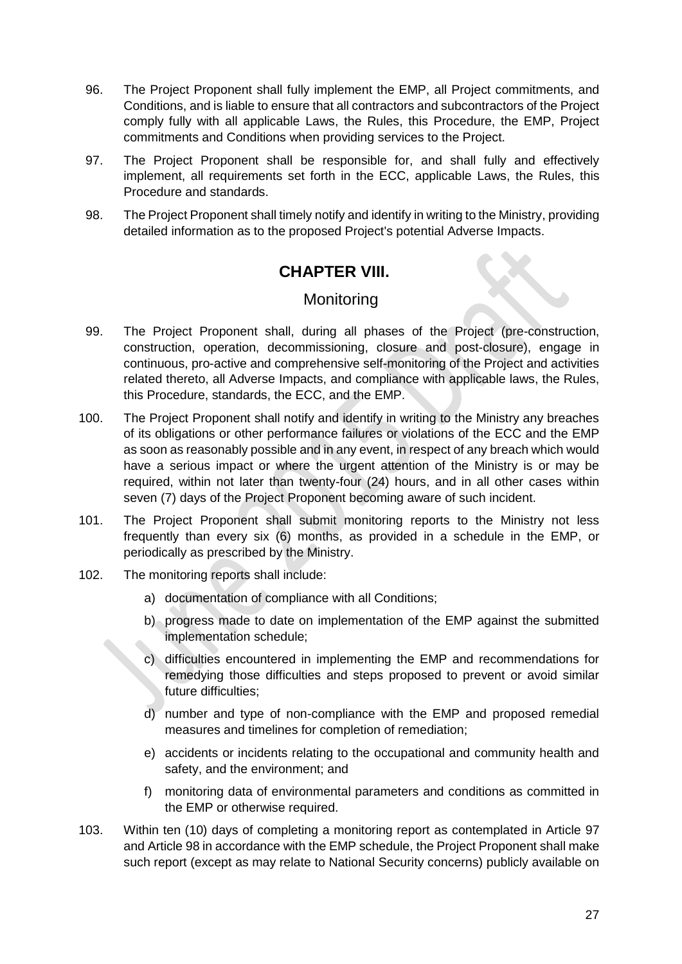- 96. The Project Proponent shall fully implement the EMP, all Project commitments, and Conditions, and is liable to ensure that all contractors and subcontractors of the Project comply fully with all applicable Laws, the Rules, this Procedure, the EMP, Project commitments and Conditions when providing services to the Project.
- 97. The Project Proponent shall be responsible for, and shall fully and effectively implement, all requirements set forth in the ECC, applicable Laws, the Rules, this Procedure and standards.
- 98. The Project Proponent shall timely notify and identify in writing to the Ministry, providing detailed information as to the proposed Project's potential Adverse Impacts.

## **CHAPTER VIII.**

## **Monitoring**

- 99. The Project Proponent shall, during all phases of the Project (pre-construction, construction, operation, decommissioning, closure and post-closure), engage in continuous, pro-active and comprehensive self-monitoring of the Project and activities related thereto, all Adverse Impacts, and compliance with applicable laws, the Rules, this Procedure, standards, the ECC, and the EMP.
- 100. The Project Proponent shall notify and identify in writing to the Ministry any breaches of its obligations or other performance failures or violations of the ECC and the EMP as soon as reasonably possible and in any event, in respect of any breach which would have a serious impact or where the urgent attention of the Ministry is or may be required, within not later than twenty-four (24) hours, and in all other cases within seven (7) days of the Project Proponent becoming aware of such incident.
- 101. The Project Proponent shall submit monitoring reports to the Ministry not less frequently than every six (6) months, as provided in a schedule in the EMP, or periodically as prescribed by the Ministry.
- 102. The monitoring reports shall include:
	- a) documentation of compliance with all Conditions;
	- b) progress made to date on implementation of the EMP against the submitted implementation schedule;
	- c) difficulties encountered in implementing the EMP and recommendations for remedying those difficulties and steps proposed to prevent or avoid similar future difficulties;
	- d) number and type of non-compliance with the EMP and proposed remedial measures and timelines for completion of remediation;
	- e) accidents or incidents relating to the occupational and community health and safety, and the environment; and
	- f) monitoring data of environmental parameters and conditions as committed in the EMP or otherwise required.
- 103. Within ten (10) days of completing a monitoring report as contemplated in Article 97 and Article 98 in accordance with the EMP schedule, the Project Proponent shall make such report (except as may relate to National Security concerns) publicly available on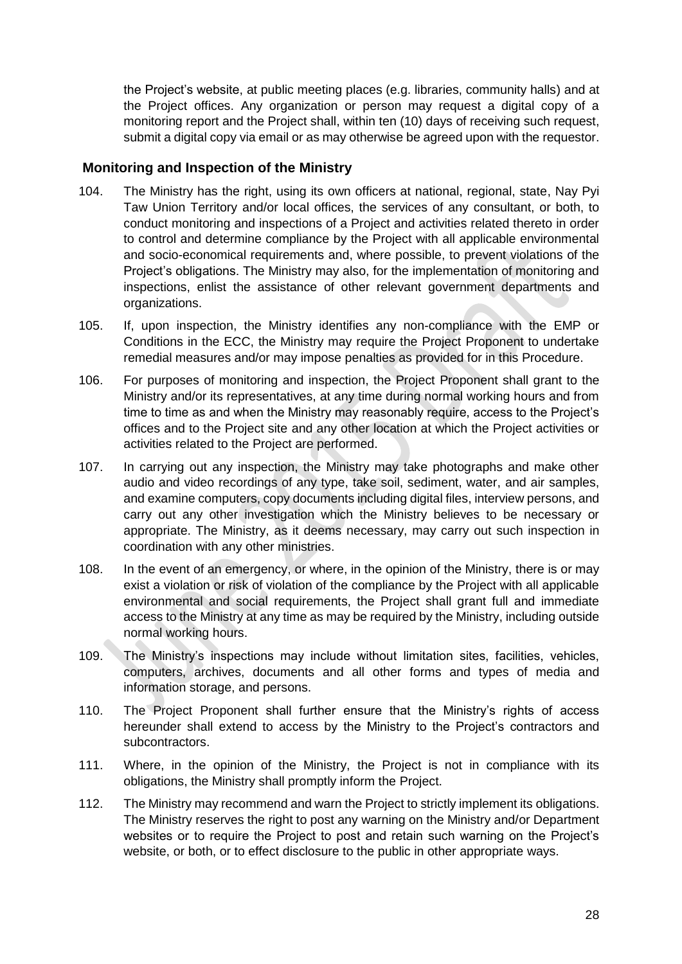the Project's website, at public meeting places (e.g. libraries, community halls) and at the Project offices. Any organization or person may request a digital copy of a monitoring report and the Project shall, within ten (10) days of receiving such request, submit a digital copy via email or as may otherwise be agreed upon with the requestor.

#### **Monitoring and Inspection of the Ministry**

- 104. The Ministry has the right, using its own officers at national, regional, state, Nay Pyi Taw Union Territory and/or local offices, the services of any consultant, or both, to conduct monitoring and inspections of a Project and activities related thereto in order to control and determine compliance by the Project with all applicable environmental and socio-economical requirements and, where possible, to prevent violations of the Project's obligations. The Ministry may also, for the implementation of monitoring and inspections, enlist the assistance of other relevant government departments and organizations.
- 105. If, upon inspection, the Ministry identifies any non-compliance with the EMP or Conditions in the ECC, the Ministry may require the Project Proponent to undertake remedial measures and/or may impose penalties as provided for in this Procedure.
- 106. For purposes of monitoring and inspection, the Project Proponent shall grant to the Ministry and/or its representatives, at any time during normal working hours and from time to time as and when the Ministry may reasonably require, access to the Project's offices and to the Project site and any other location at which the Project activities or activities related to the Project are performed.
- 107. In carrying out any inspection, the Ministry may take photographs and make other audio and video recordings of any type, take soil, sediment, water, and air samples, and examine computers, copy documents including digital files, interview persons, and carry out any other investigation which the Ministry believes to be necessary or appropriate. The Ministry, as it deems necessary, may carry out such inspection in coordination with any other ministries.
- 108. In the event of an emergency, or where, in the opinion of the Ministry, there is or may exist a violation or risk of violation of the compliance by the Project with all applicable environmental and social requirements, the Project shall grant full and immediate access to the Ministry at any time as may be required by the Ministry, including outside normal working hours.
- 109. The Ministry's inspections may include without limitation sites, facilities, vehicles, computers, archives, documents and all other forms and types of media and information storage, and persons.
- 110. The Project Proponent shall further ensure that the Ministry's rights of access hereunder shall extend to access by the Ministry to the Project's contractors and subcontractors.
- 111. Where, in the opinion of the Ministry, the Project is not in compliance with its obligations, the Ministry shall promptly inform the Project.
- 112. The Ministry may recommend and warn the Project to strictly implement its obligations. The Ministry reserves the right to post any warning on the Ministry and/or Department websites or to require the Project to post and retain such warning on the Project's website, or both, or to effect disclosure to the public in other appropriate ways.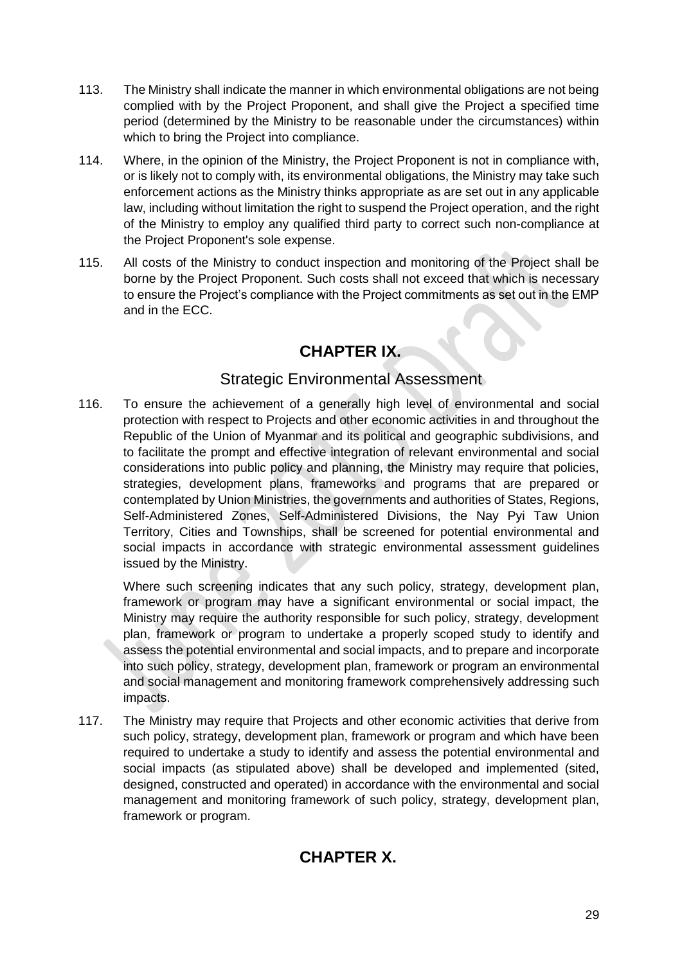- 113. The Ministry shall indicate the manner in which environmental obligations are not being complied with by the Project Proponent, and shall give the Project a specified time period (determined by the Ministry to be reasonable under the circumstances) within which to bring the Project into compliance.
- 114. Where, in the opinion of the Ministry, the Project Proponent is not in compliance with, or is likely not to comply with, its environmental obligations, the Ministry may take such enforcement actions as the Ministry thinks appropriate as are set out in any applicable law, including without limitation the right to suspend the Project operation, and the right of the Ministry to employ any qualified third party to correct such non-compliance at the Project Proponent's sole expense.
- 115. All costs of the Ministry to conduct inspection and monitoring of the Project shall be borne by the Project Proponent. Such costs shall not exceed that which is necessary to ensure the Project's compliance with the Project commitments as set out in the EMP and in the ECC.

# **CHAPTER IX.**

## Strategic Environmental Assessment

116. To ensure the achievement of a generally high level of environmental and social protection with respect to Projects and other economic activities in and throughout the Republic of the Union of Myanmar and its political and geographic subdivisions, and to facilitate the prompt and effective integration of relevant environmental and social considerations into public policy and planning, the Ministry may require that policies, strategies, development plans, frameworks and programs that are prepared or contemplated by Union Ministries, the governments and authorities of States, Regions, Self-Administered Zones, Self-Administered Divisions, the Nay Pyi Taw Union Territory, Cities and Townships, shall be screened for potential environmental and social impacts in accordance with strategic environmental assessment guidelines issued by the Ministry.

Where such screening indicates that any such policy, strategy, development plan, framework or program may have a significant environmental or social impact, the Ministry may require the authority responsible for such policy, strategy, development plan, framework or program to undertake a properly scoped study to identify and assess the potential environmental and social impacts, and to prepare and incorporate into such policy, strategy, development plan, framework or program an environmental and social management and monitoring framework comprehensively addressing such impacts.

117. The Ministry may require that Projects and other economic activities that derive from such policy, strategy, development plan, framework or program and which have been required to undertake a study to identify and assess the potential environmental and social impacts (as stipulated above) shall be developed and implemented (sited, designed, constructed and operated) in accordance with the environmental and social management and monitoring framework of such policy, strategy, development plan, framework or program.

# **CHAPTER X.**